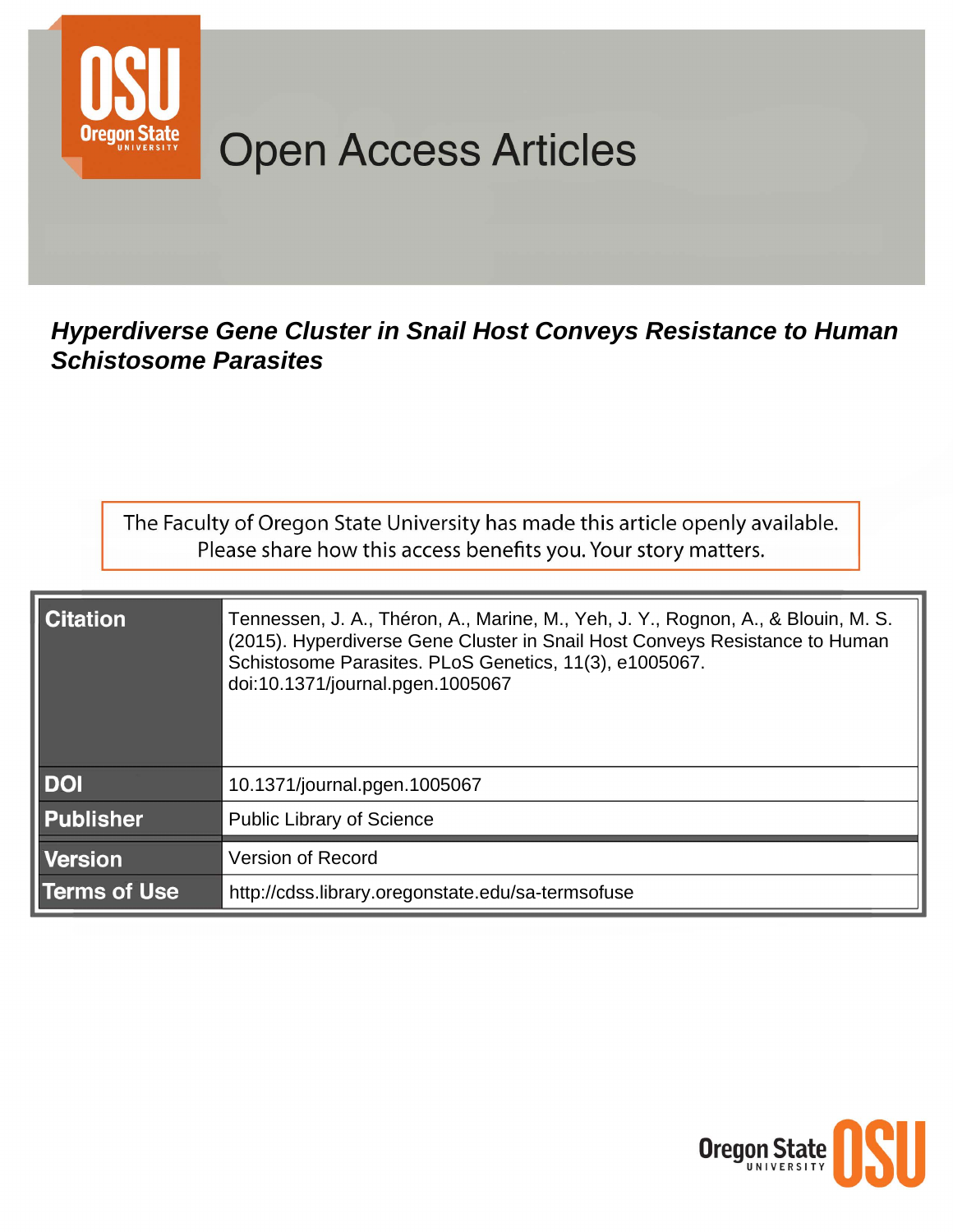

# **Open Access Articles**

## Hyperdiverse Gene Cluster in Snail Host Conveys Resistance to Human **Schistosome Parasites**

The Faculty of Oregon State University has made this article openly available. Please share how this access benefits you. Your story matters.

| <b>Citation</b>     | Tennessen, J. A., Théron, A., Marine, M., Yeh, J. Y., Rognon, A., & Blouin, M. S.<br>(2015). Hyperdiverse Gene Cluster in Snail Host Conveys Resistance to Human<br>Schistosome Parasites. PLoS Genetics, 11(3), e1005067.<br>doi:10.1371/journal.pgen.1005067 |
|---------------------|----------------------------------------------------------------------------------------------------------------------------------------------------------------------------------------------------------------------------------------------------------------|
| <b>DOI</b>          | 10.1371/journal.pgen.1005067                                                                                                                                                                                                                                   |
| <b>Publisher</b>    | <b>Public Library of Science</b>                                                                                                                                                                                                                               |
| <b>Version</b>      | <b>Version of Record</b>                                                                                                                                                                                                                                       |
| <b>Terms of Use</b> | http://cdss.library.oregonstate.edu/sa-termsofuse                                                                                                                                                                                                              |

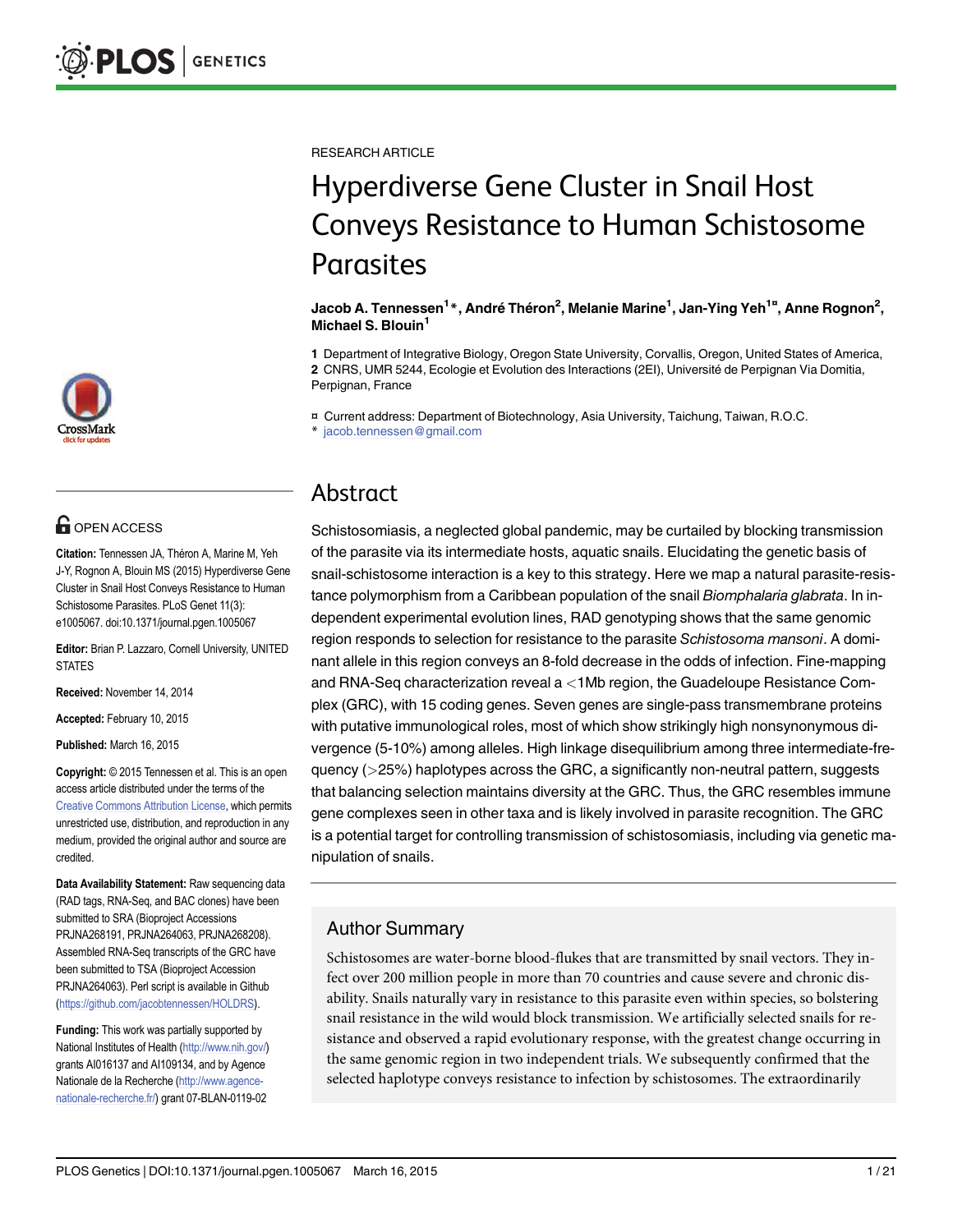

# **G** OPEN ACCESS

Citation: Tennessen JA, Théron A, Marine M, Yeh J-Y, Rognon A, Blouin MS (2015) Hyperdiverse Gene Cluster in Snail Host Conveys Resistance to Human Schistosome Parasites. PLoS Genet 11(3): e1005067. doi:10.1371/journal.pgen.1005067

Editor: Brian P. Lazzaro, Cornell University, UNITED STATES

Received: November 14, 2014

Accepted: February 10, 2015

Published: March 16, 2015

Copyright: © 2015 Tennessen et al. This is an open access article distributed under the terms of the [Creative Commons Attribution License,](http://creativecommons.org/licenses/by/4.0/) which permits unrestricted use, distribution, and reproduction in any medium, provided the original author and source are credited.

Data Availability Statement: Raw sequencing data (RAD tags, RNA-Seq, and BAC clones) have been submitted to SRA (Bioproject Accessions PRJNA268191, PRJNA264063, PRJNA268208). Assembled RNA-Seq transcripts of the GRC have been submitted to TSA (Bioproject Accession PRJNA264063). Perl script is available in Github [\(https://github.com/jacobtennessen/HOLDRS](https://github.com/jacobtennessen/HOLDRS)).

Funding: This work was partially supported by National Institutes of Health ([http://www.nih.gov/\)](http://www.nih.gov/) grants AI016137 and AI109134, and by Agence Nationale de la Recherche [\(http://www.agence](http://www.agence-nationale-recherche.fr/)[nationale-recherche.fr/\)](http://www.agence-nationale-recherche.fr/) grant 07-BLAN-0119-02

RESEARCH ARTICLE

# Hyperdiverse Gene Cluster in Snail Host Conveys Resistance to Human Schistosome Parasites

#### Jacob A. Tennessen<sup>1</sup>\*, André Théron<sup>2</sup>, Melanie Marine<sup>1</sup>, Jan-Ying Yeh<sup>1¤</sup>, Anne Rognon<sup>2</sup>, Michael S. Blouin<sup>1</sup>

1 Department of Integrative Biology, Oregon State University, Corvallis, Oregon, United States of America, 2 CNRS, UMR 5244, Ecologie et Evolution des Interactions (2EI), Université de Perpignan Via Domitia, Perpignan, France

¤ Current address: Department of Biotechnology, Asia University, Taichung, Taiwan, R.O.C.

\* jacob.tennessen@gmail.com

### Abstract

Schistosomiasis, a neglected global pandemic, may be curtailed by blocking transmission of the parasite via its intermediate hosts, aquatic snails. Elucidating the genetic basis of snail-schistosome interaction is a key to this strategy. Here we map a natural parasite-resistance polymorphism from a Caribbean population of the snail Biomphalaria glabrata. In independent experimental evolution lines, RAD genotyping shows that the same genomic region responds to selection for resistance to the parasite Schistosoma mansoni. A dominant allele in this region conveys an 8-fold decrease in the odds of infection. Fine-mapping and RNA-Seq characterization reveal a <1Mb region, the Guadeloupe Resistance Complex (GRC), with 15 coding genes. Seven genes are single-pass transmembrane proteins with putative immunological roles, most of which show strikingly high nonsynonymous divergence (5-10%) among alleles. High linkage disequilibrium among three intermediate-frequency (>25%) haplotypes across the GRC, a significantly non-neutral pattern, suggests that balancing selection maintains diversity at the GRC. Thus, the GRC resembles immune gene complexes seen in other taxa and is likely involved in parasite recognition. The GRC is a potential target for controlling transmission of schistosomiasis, including via genetic manipulation of snails.

#### Author Summary

Schistosomes are water-borne blood-flukes that are transmitted by snail vectors. They infect over 200 million people in more than 70 countries and cause severe and chronic disability. Snails naturally vary in resistance to this parasite even within species, so bolstering snail resistance in the wild would block transmission. We artificially selected snails for resistance and observed a rapid evolutionary response, with the greatest change occurring in the same genomic region in two independent trials. We subsequently confirmed that the selected haplotype conveys resistance to infection by schistosomes. The extraordinarily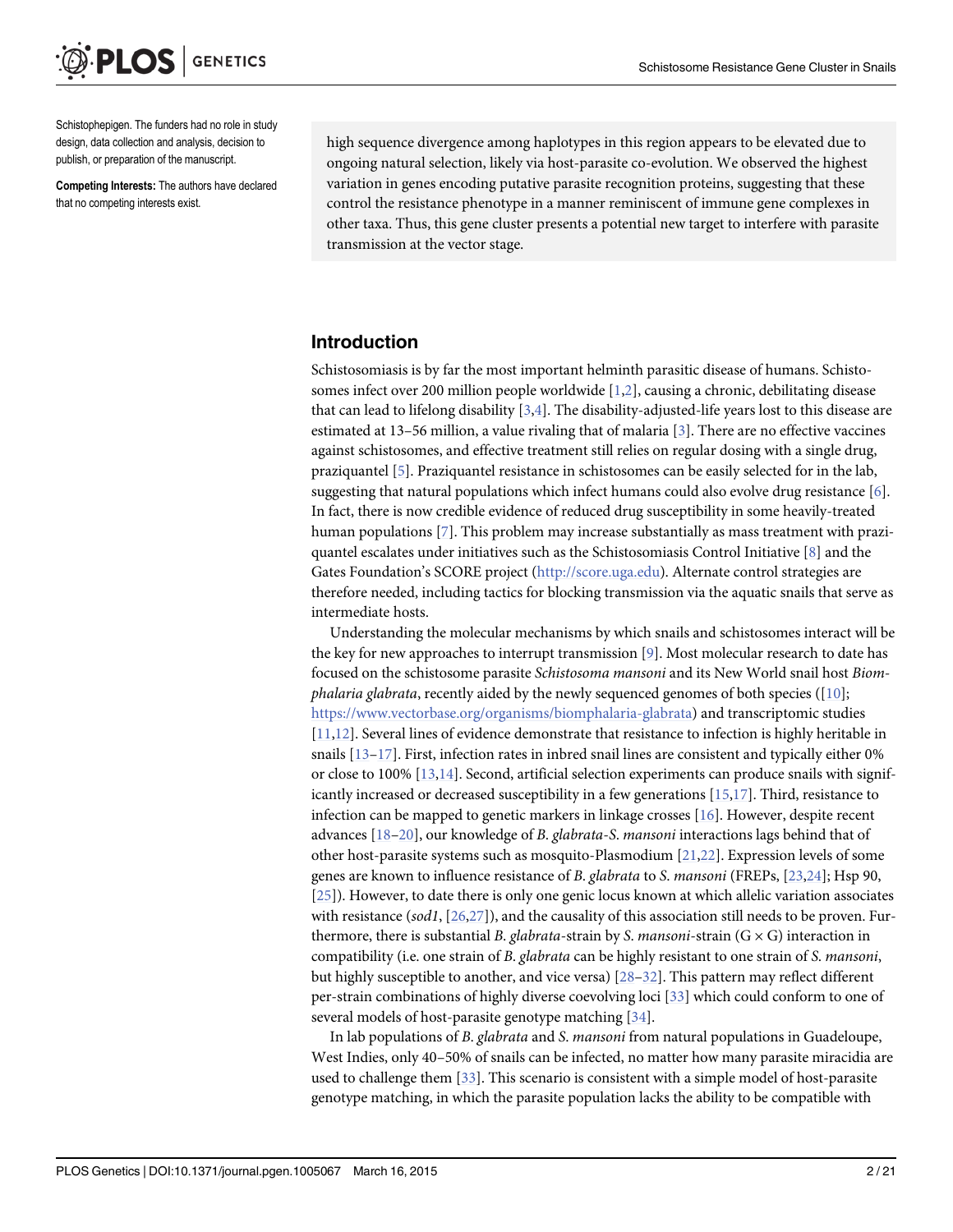<span id="page-2-0"></span>Schistophepigen. The funders had no role in study design, data collection and analysis, decision to publish, or preparation of the manuscript.

Competing Interests: The authors have declared that no competing interests exist.

high sequence divergence among haplotypes in this region appears to be elevated due to ongoing natural selection, likely via host-parasite co-evolution. We observed the highest variation in genes encoding putative parasite recognition proteins, suggesting that these control the resistance phenotype in a manner reminiscent of immune gene complexes in other taxa. Thus, this gene cluster presents a potential new target to interfere with parasite transmission at the vector stage.

#### Introduction

Schistosomiasis is by far the most important helminth parasitic disease of humans. Schistosomes infect over 200 million people worldwide [[1,2](#page-18-0)], causing a chronic, debilitating disease that can lead to lifelong disability  $[3,4]$  $[3,4]$  $[3,4]$  $[3,4]$  $[3,4]$ . The disability-adjusted-life years lost to this disease are estimated at 13–56 million, a value rivaling that of malaria [[3\]](#page-18-0). There are no effective vaccines against schistosomes, and effective treatment still relies on regular dosing with a single drug, praziquantel [\[5](#page-18-0)]. Praziquantel resistance in schistosomes can be easily selected for in the lab, suggesting that natural populations which infect humans could also evolve drug resistance [[6\]](#page-18-0). In fact, there is now credible evidence of reduced drug susceptibility in some heavily-treated human populations [[7](#page-18-0)]. This problem may increase substantially as mass treatment with praziquantel escalates under initiatives such as the Schistosomiasis Control Initiative  $[8]$  $[8]$  $[8]$  and the Gates Foundation's SCORE project [\(http://score.uga.edu](http://score.uga.edu/)). Alternate control strategies are therefore needed, including tactics for blocking transmission via the aquatic snails that serve as intermediate hosts.

Understanding the molecular mechanisms by which snails and schistosomes interact will be the key for new approaches to interrupt transmission [[9](#page-18-0)]. Most molecular research to date has focused on the schistosome parasite Schistosoma mansoni and its New World snail host Biomphalaria glabrata, recently aided by the newly sequenced genomes of both species ( $[10]$  $[10]$  $[10]$ ; [https://www.vectorbase.org/organisms/biomphalaria-glabrata\)](https://www.vectorbase.org/organisms/biomphalaria-glabrata) and transcriptomic studies [\[11,12\]](#page-18-0). Several lines of evidence demonstrate that resistance to infection is highly heritable in snails  $[13-17]$  $[13-17]$  $[13-17]$  $[13-17]$  $[13-17]$ . First, infection rates in inbred snail lines are consistent and typically either 0% or close to 100% [\[13,14\]](#page-18-0). Second, artificial selection experiments can produce snails with significantly increased or decreased susceptibility in a few generations  $[15,17]$ . Third, resistance to infection can be mapped to genetic markers in linkage crosses [[16](#page-18-0)]. However, despite recent advances [[18](#page-19-0)–[20\]](#page-19-0), our knowledge of B. glabrata-S. mansoni interactions lags behind that of other host-parasite systems such as mosquito-Plasmodium [\[21,22\]](#page-19-0). Expression levels of some genes are known to influence resistance of B. glabrata to S. mansoni (FREPs, [[23,24](#page-19-0)]; Hsp 90, [\[25](#page-19-0)]). However, to date there is only one genic locus known at which allelic variation associates with resistance (sod1,  $[26,27]$  $[26,27]$  $[26,27]$  $[26,27]$  $[26,27]$ ), and the causality of this association still needs to be proven. Furthermore, there is substantial B. glabrata-strain by S. mansoni-strain  $(G \times G)$  interaction in compatibility (i.e. one strain of B. glabrata can be highly resistant to one strain of S. mansoni, but highly susceptible to another, and vice versa)  $[28-32]$  $[28-32]$  $[28-32]$  $[28-32]$ . This pattern may reflect different per-strain combinations of highly diverse coevolving loci [\[33\]](#page-19-0) which could conform to one of several models of host-parasite genotype matching [[34](#page-19-0)].

In lab populations of B. *glabrata* and S. *mansoni* from natural populations in Guadeloupe, West Indies, only 40–50% of snails can be infected, no matter how many parasite miracidia are used to challenge them [\[33\]](#page-19-0). This scenario is consistent with a simple model of host-parasite genotype matching, in which the parasite population lacks the ability to be compatible with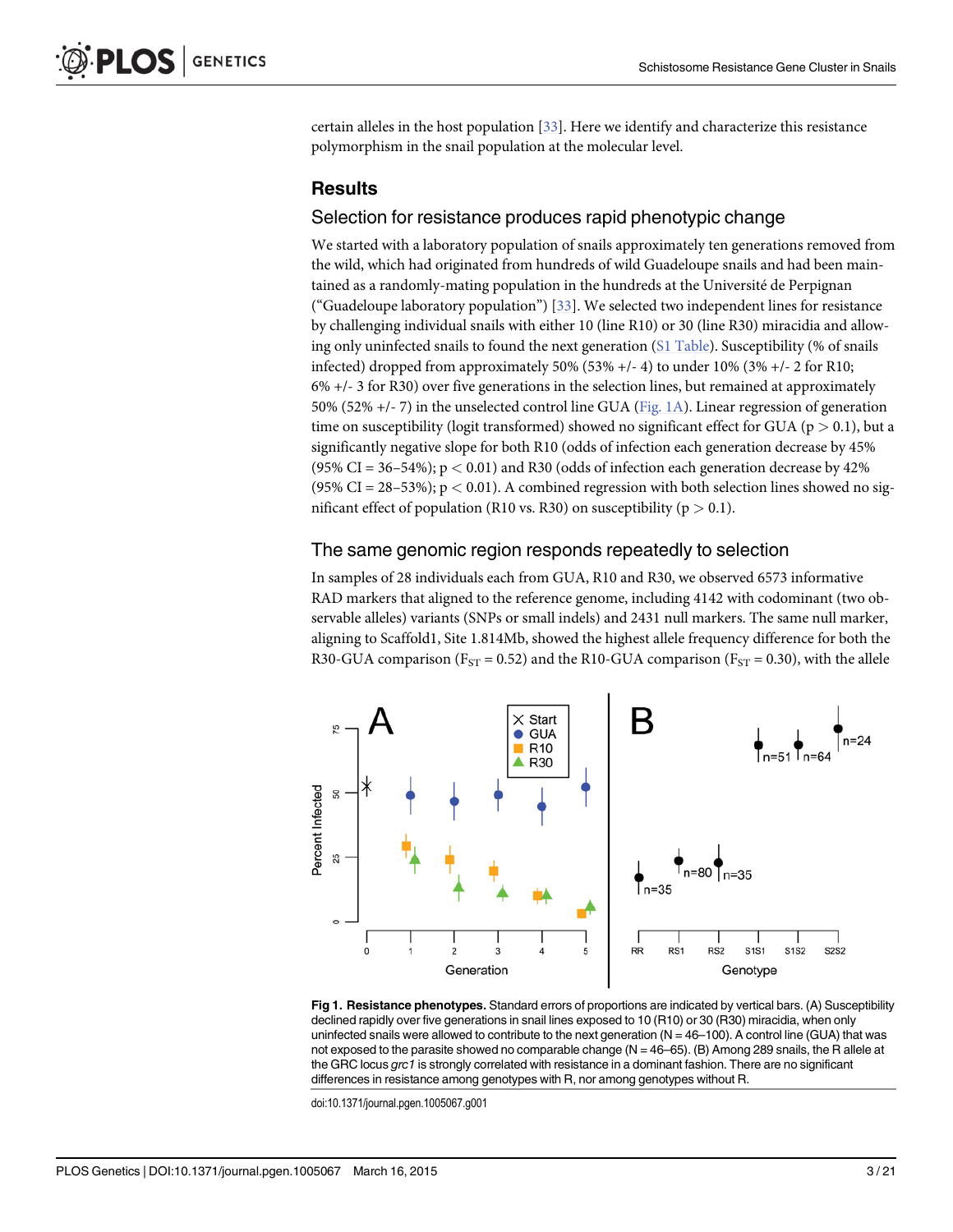<span id="page-3-0"></span>certain alleles in the host population [\[33\]](#page-19-0). Here we identify and characterize this resistance polymorphism in the snail population at the molecular level.

#### **Results**

#### Selection for resistance produces rapid phenotypic change

We started with a laboratory population of snails approximately ten generations removed from the wild, which had originated from hundreds of wild Guadeloupe snails and had been maintained as a randomly-mating population in the hundreds at the Université de Perpignan ("Guadeloupe laboratory population")  $[33]$  $[33]$  $[33]$ . We selected two independent lines for resistance by challenging individual snails with either 10 (line R10) or 30 (line R30) miracidia and allow-ing only uninfected snails to found the next generation ([S1 Table\)](#page-17-0). Susceptibility (% of snails infected) dropped from approximately 50% (53% +/- 4) to under 10% (3% +/- 2 for R10; 6% +/- 3 for R30) over five generations in the selection lines, but remained at approximately 50% (52% +/- 7) in the unselected control line GUA (Fig. 1A). Linear regression of generation time on susceptibility (logit transformed) showed no significant effect for GUA ( $p > 0.1$ ), but a significantly negative slope for both R10 (odds of infection each generation decrease by 45% (95% CI = 36–54%);  $p < 0.01$ ) and R30 (odds of infection each generation decrease by 42% (95% CI = 28–53%);  $p < 0.01$ ). A combined regression with both selection lines showed no significant effect of population (R10 vs. R30) on susceptibility ( $p > 0.1$ ).

#### The same genomic region responds repeatedly to selection

In samples of 28 individuals each from GUA, R10 and R30, we observed 6573 informative RAD markers that aligned to the reference genome, including 4142 with codominant (two observable alleles) variants (SNPs or small indels) and 2431 null markers. The same null marker, aligning to Scaffold1, Site 1.814Mb, showed the highest allele frequency difference for both the R30-GUA comparison ( $F_{ST}$  = 0.52) and the R10-GUA comparison ( $F_{ST}$  = 0.30), with the allele



Fig 1. Resistance phenotypes. Standard errors of proportions are indicated by vertical bars. (A) Susceptibility declined rapidly over five generations in snail lines exposed to 10 (R10) or 30 (R30) miracidia, when only uninfected snails were allowed to contribute to the next generation (N = 46–100). A control line (GUA) that was not exposed to the parasite showed no comparable change  $(N = 46–65)$ . (B) Among 289 snails, the R allele at the GRC locus grc1 is strongly correlated with resistance in a dominant fashion. There are no significant differences in resistance among genotypes with R, nor among genotypes without R.

doi:10.1371/journal.pgen.1005067.g001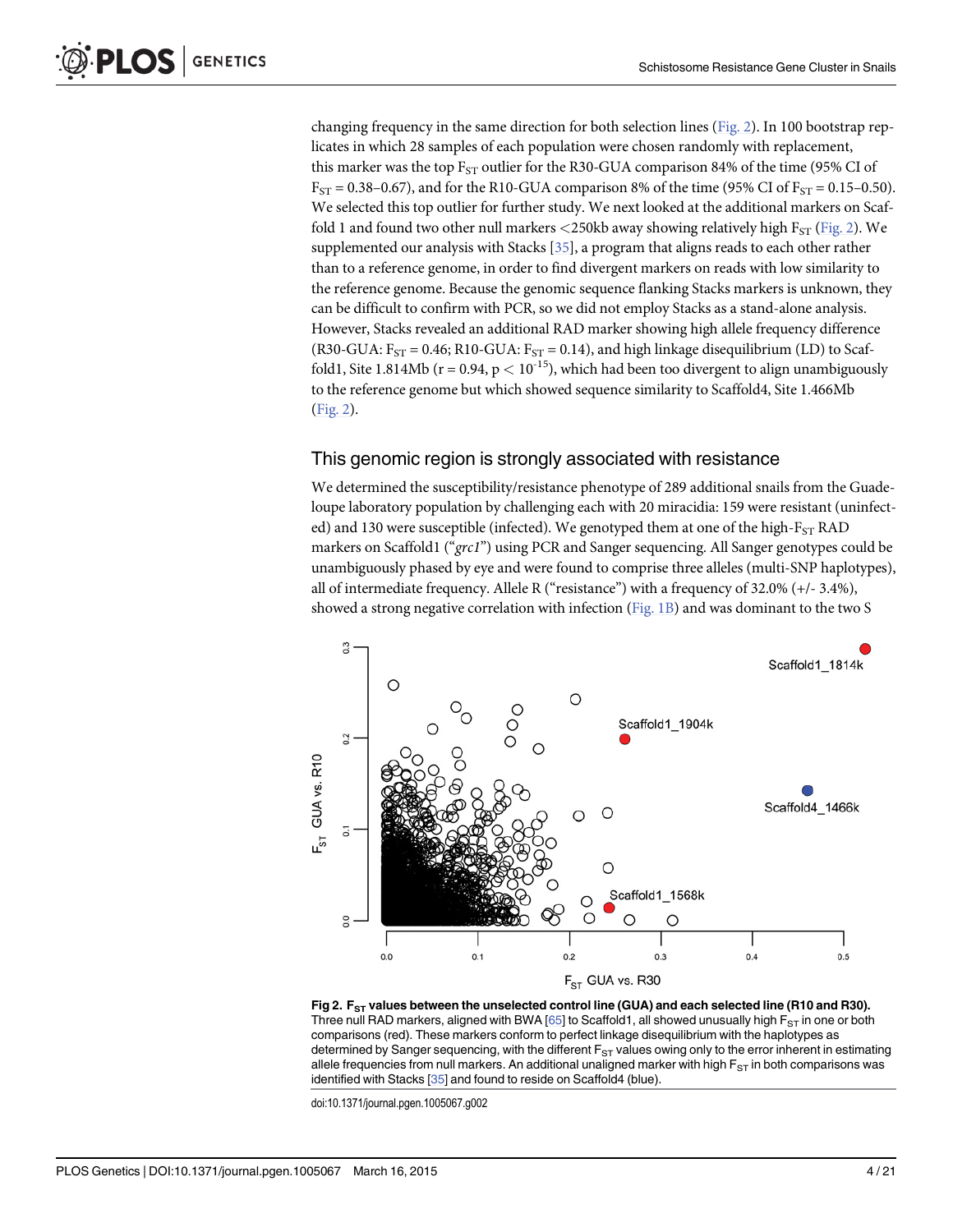<span id="page-4-0"></span>changing frequency in the same direction for both selection lines (Fig. 2). In 100 bootstrap replicates in which 28 samples of each population were chosen randomly with replacement, this marker was the top  $F_{ST}$  outlier for the R30-GUA comparison 84% of the time (95% CI of  $F_{ST} = 0.38 - 0.67$ , and for the R10-GUA comparison 8% of the time (95% CI of  $F_{ST} = 0.15 - 0.50$ ). We selected this top outlier for further study. We next looked at the additional markers on Scaffold 1 and found two other null markers  $\langle 250kb$  away showing relatively high F<sub>ST</sub> (Fig. 2). We supplemented our analysis with Stacks  $[35]$ , a program that aligns reads to each other rather than to a reference genome, in order to find divergent markers on reads with low similarity to the reference genome. Because the genomic sequence flanking Stacks markers is unknown, they can be difficult to confirm with PCR, so we did not employ Stacks as a stand-alone analysis. However, Stacks revealed an additional RAD marker showing high allele frequency difference (R30-GUA:  $F_{ST}$  = 0.46; R10-GUA:  $F_{ST}$  = 0.14), and high linkage disequilibrium (LD) to Scaffold1, Site 1.814Mb ( $r = 0.94$ ,  $p < 10^{-15}$ ), which had been too divergent to align unambiguously to the reference genome but which showed sequence similarity to Scaffold4, Site 1.466Mb (Fig. 2).

#### This genomic region is strongly associated with resistance

We determined the susceptibility/resistance phenotype of 289 additional snails from the Guadeloupe laboratory population by challenging each with 20 miracidia: 159 were resistant (uninfected) and 130 were susceptible (infected). We genotyped them at one of the high- $F_{ST}$  RAD markers on Scaffold1 ("grc1") using PCR and Sanger sequencing. All Sanger genotypes could be unambiguously phased by eye and were found to comprise three alleles (multi-SNP haplotypes), all of intermediate frequency. Allele R ("resistance") with a frequency of 32.0% (+/- 3.4%), showed a strong negative correlation with infection [\(Fig. 1B](#page-3-0)) and was dominant to the two S



Fig 2.  $F_{ST}$  values between the unselected control line (GUA) and each selected line (R10 and R30). Three null RAD markers, aligned with BWA  $[65]$  $[65]$  to Scaffold1, all showed unusually high  $F_{ST}$  in one or both comparisons (red). These markers conform to perfect linkage disequilibrium with the haplotypes as determined by Sanger sequencing, with the different  $F_{ST}$  values owing only to the error inherent in estimating allele frequencies from null markers. An additional unaligned marker with high  $F_{ST}$  in both comparisons was identified with Stacks [[35\]](#page-19-0) and found to reside on Scaffold4 (blue).

doi:10.1371/journal.pgen.1005067.g002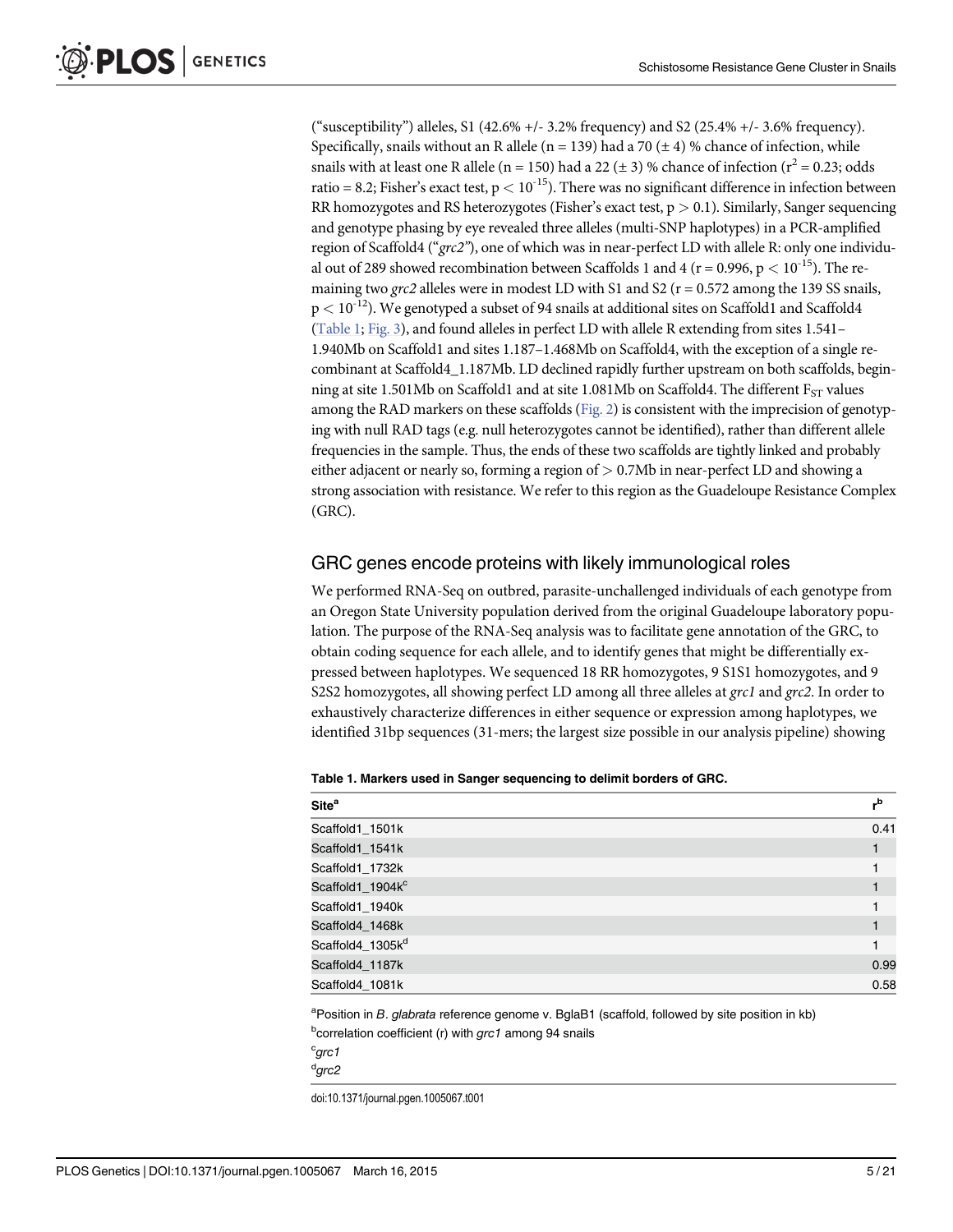<span id="page-5-0"></span>("susceptibility") alleles, S1 (42.6%  $+/- 3.2$ % frequency) and S2 (25.4%  $+/- 3.6$ % frequency). Specifically, snails without an R allele (n = 139) had a 70 ( $\pm$  4) % chance of infection, while snails with at least one R allele (n = 150) had a 22 ( $\pm$  3) % chance of infection ( $r^2$  = 0.23; odds ratio = 8.2; Fisher's exact test,  $p < 10^{-15}$ ). There was no significant difference in infection between RR homozygotes and RS heterozygotes (Fisher's exact test,  $p > 0.1$ ). Similarly, Sanger sequencing and genotype phasing by eye revealed three alleles (multi-SNP haplotypes) in a PCR-amplified region of Scaffold4 ("grc2"), one of which was in near-perfect LD with allele R: only one individual out of 289 showed recombination between Scaffolds 1 and 4 ( $r = 0.996$ ,  $p < 10^{-15}$ ). The remaining two grc2 alleles were in modest LD with S1 and S2 ( $r = 0.572$  among the 139 SS snails,  $p < 10^{-12}$ ). We genotyped a subset of 94 snails at additional sites on Scaffold1 and Scaffold4 (Table 1; [Fig. 3](#page-6-0)), and found alleles in perfect LD with allele R extending from sites 1.541– 1.940Mb on Scaffold1 and sites 1.187–1.468Mb on Scaffold4, with the exception of a single recombinant at Scaffold4\_1.187Mb. LD declined rapidly further upstream on both scaffolds, beginning at site 1.501Mb on Scaffold1 and at site 1.081Mb on Scaffold4. The different  $F_{ST}$  values among the RAD markers on these scaffolds [\(Fig. 2](#page-4-0)) is consistent with the imprecision of genotyping with null RAD tags (e.g. null heterozygotes cannot be identified), rather than different allele frequencies in the sample. Thus, the ends of these two scaffolds are tightly linked and probably either adjacent or nearly so, forming a region of  $> 0.7Mb$  in near-perfect LD and showing a strong association with resistance. We refer to this region as the Guadeloupe Resistance Complex (GRC).

#### GRC genes encode proteins with likely immunological roles

We performed RNA-Seq on outbred, parasite-unchallenged individuals of each genotype from an Oregon State University population derived from the original Guadeloupe laboratory population. The purpose of the RNA-Seq analysis was to facilitate gene annotation of the GRC, to obtain coding sequence for each allele, and to identify genes that might be differentially expressed between haplotypes. We sequenced 18 RR homozygotes, 9 S1S1 homozygotes, and 9 S2S2 homozygotes, all showing perfect LD among all three alleles at grc1 and grc2. In order to exhaustively characterize differences in either sequence or expression among haplotypes, we identified 31bp sequences (31-mers; the largest size possible in our analysis pipeline) showing

| <b>Site<sup>a</sup></b>      | "b   |
|------------------------------|------|
| Scaffold1_1501k              | 0.41 |
| Scaffold1 1541k              |      |
| Scaffold1 1732k              |      |
| Scaffold1_1904k <sup>c</sup> |      |
| Scaffold1 1940k              |      |
| Scaffold4_1468k              |      |
| Scaffold4_1305k <sup>d</sup> |      |
| Scaffold4 1187k              | 0.99 |
| Scaffold4 1081k              | 0.58 |

Table 1. Markers used in Sanger sequencing to delimit borders of GRC.

<sup>a</sup>Position in *B. glabrata reference genome v. BglaB1* (scaffold, followed by site position in kb) <sup>b</sup>correlation coefficient (r) with grc1 among 94 snails

 $c$ <sub>grc1</sub> d grc2

doi:10.1371/journal.pgen.1005067.t001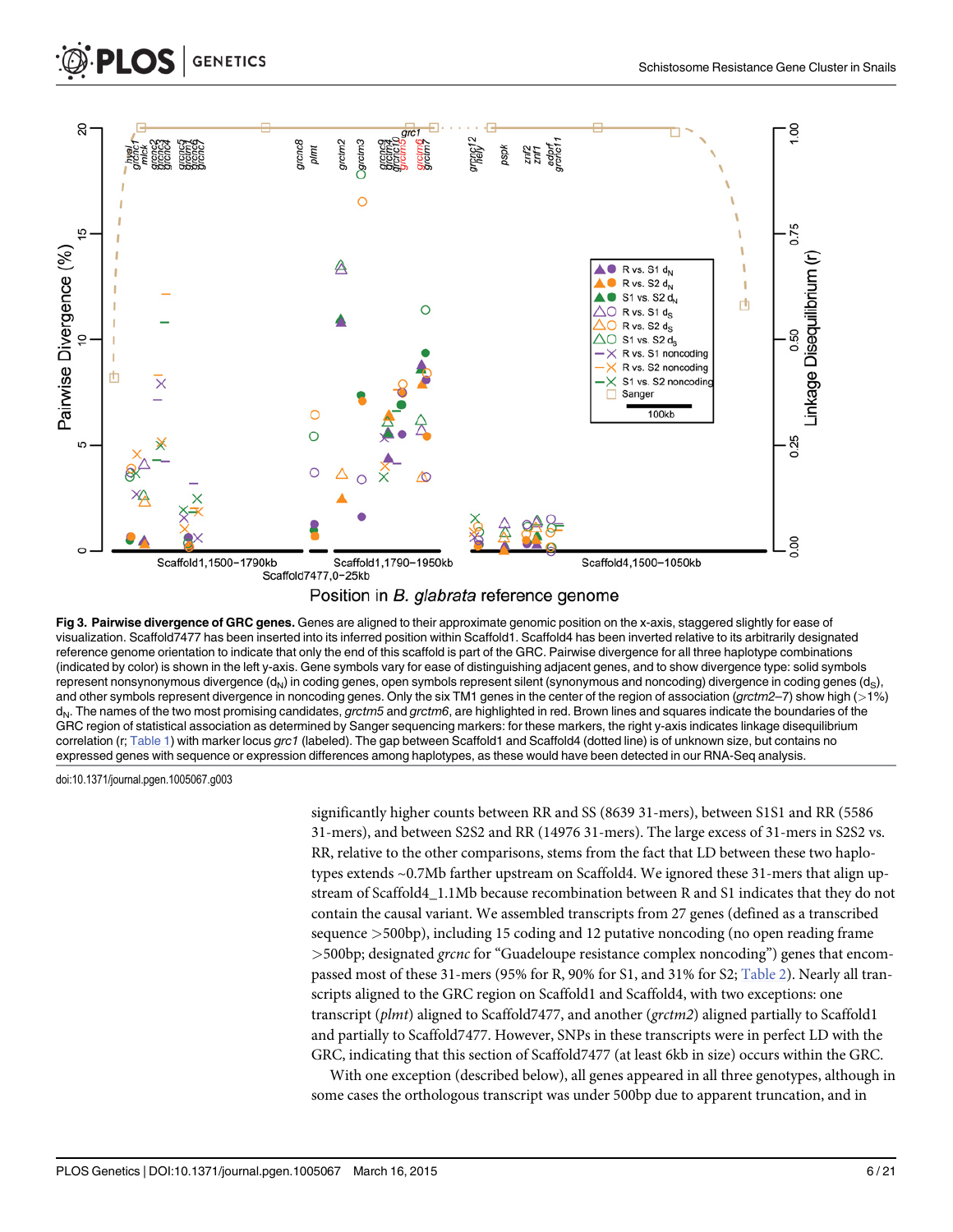<span id="page-6-0"></span>





[Fig 3. P](#page-5-0)airwise divergence of GRC genes. Genes are aligned to their approximate genomic position on the x-axis, staggered slightly for ease of visualization. Scaffold7477 has been inserted into its inferred position within Scaffold1. Scaffold4 has been inverted relative to its arbitrarily designated reference genome orientation to indicate that only the end of this scaffold is part of the GRC. Pairwise divergence for all three haplotype combinations (indicated by color) is shown in the left y-axis. Gene symbols vary for ease of distinguishing adjacent genes, and to show divergence type: solid symbols represent nonsynonymous divergence  $(d_N)$  in coding genes, open symbols represent silent (synonymous and noncoding) divergence in coding genes  $(d_S)$ , and other symbols represent divergence in noncoding genes. Only the six TM1 genes in the center of the region of association (grctm2-7) show high (>1%) d<sub>N</sub>. The names of the two most promising candidates, grctm5 and grctm6, are highlighted in red. Brown lines and squares indicate the boundaries of the GRC region of statistical association as determined by Sanger sequencing markers: for these markers, the right y-axis indicates linkage disequilibrium correlation (r; [Table 1\)](#page-5-0) with marker locus grc1 (labeled). The gap between Scaffold1 and Scaffold4 (dotted line) is of unknown size, but contains no expressed genes with sequence or expression differences among haplotypes, as these would have been detected in our RNA-Seq analysis.

doi:10.1371/journal.pgen.1005067.g003

significantly higher counts between RR and SS (8639 31-mers), between S1S1 and RR (5586 31-mers), and between S2S2 and RR (14976 31-mers). The large excess of 31-mers in S2S2 vs. RR, relative to the other comparisons, stems from the fact that LD between these two haplotypes extends ~0.7Mb farther upstream on Scaffold4. We ignored these 31-mers that align upstream of Scaffold4\_1.1Mb because recombination between R and S1 indicates that they do not contain the causal variant. We assembled transcripts from 27 genes (defined as a transcribed sequence >500bp), including 15 coding and 12 putative noncoding (no open reading frame >500bp; designated grcnc for "Guadeloupe resistance complex noncoding") genes that encompassed most of these 31-mers (95% for R, 90% for S1, and 31% for S2; [Table 2](#page-7-0)). Nearly all transcripts aligned to the GRC region on Scaffold1 and Scaffold4, with two exceptions: one transcript (plmt) aligned to Scaffold7477, and another (grctm2) aligned partially to Scaffold1 and partially to Scaffold7477. However, SNPs in these transcripts were in perfect LD with the GRC, indicating that this section of Scaffold7477 (at least 6kb in size) occurs within the GRC.

With one exception (described below), all genes appeared in all three genotypes, although in some cases the orthologous transcript was under 500bp due to apparent truncation, and in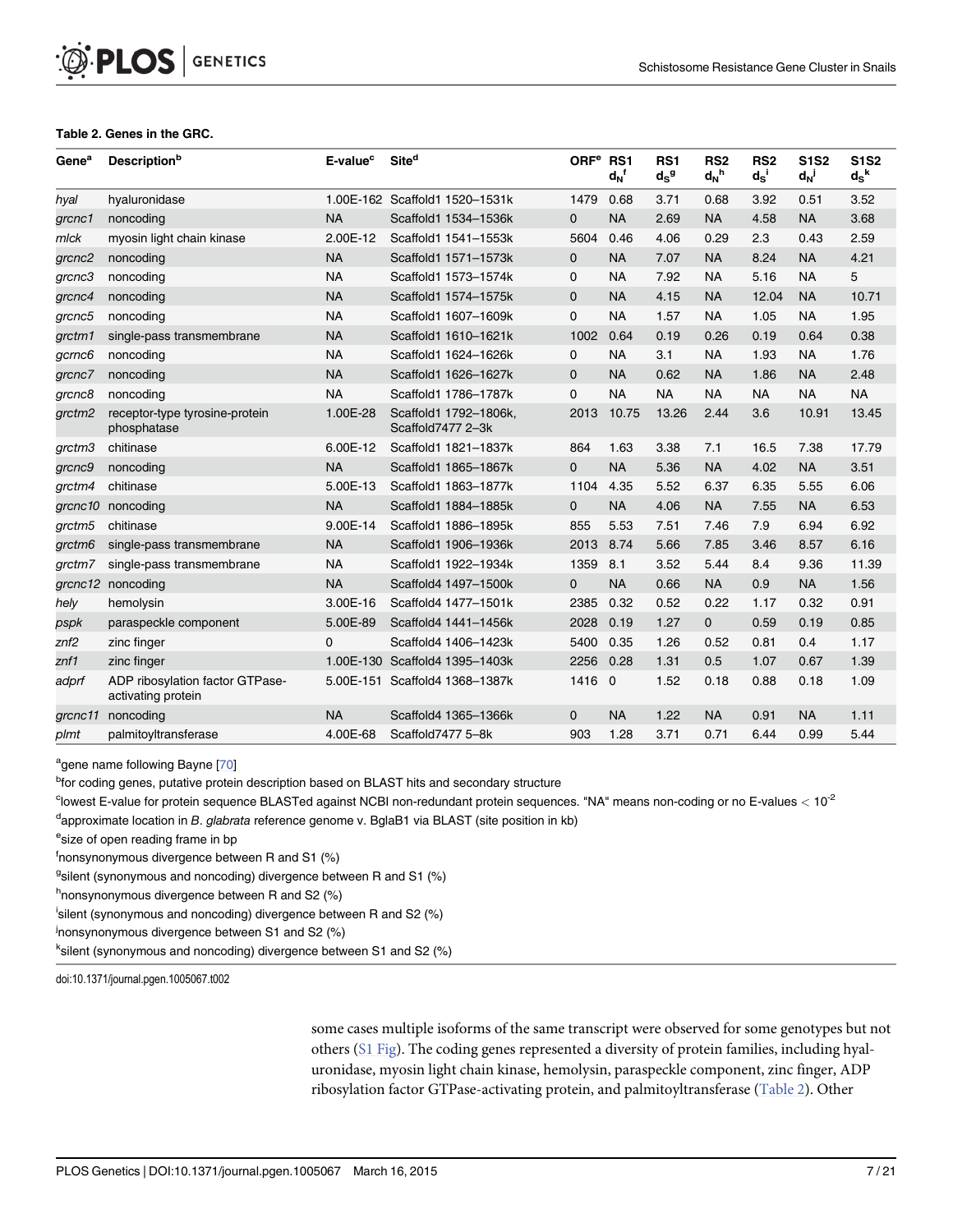#### [Table 2.](#page-6-0) Genes in the GRC.

<span id="page-7-0"></span>PLOS | GENETICS

| Gene <sup>a</sup>  | <b>Description</b> b                                  | E-value <sup>c</sup> | Site <sup>d</sup>                          | ORF <sup>e</sup> RS1 | $d_N$ <sup>f</sup> | RS <sub>1</sub><br>$d_S^g$ | RS <sub>2</sub><br>$d_N$ <sup>h</sup> | RS <sub>2</sub><br>$d_S$ <sup>i</sup> | <b>S1S2</b><br>$d_N$ | <b>S1S2</b><br>$d_S^k$ |
|--------------------|-------------------------------------------------------|----------------------|--------------------------------------------|----------------------|--------------------|----------------------------|---------------------------------------|---------------------------------------|----------------------|------------------------|
| hyal               | hyaluronidase                                         |                      | 1.00E-162 Scaffold1 1520-1531k             | 1479                 | 0.68               | 3.71                       | 0.68                                  | 3.92                                  | 0.51                 | 3.52                   |
| grcnc1             | noncoding                                             | <b>NA</b>            | Scaffold1 1534-1536k                       | $\mathbf{0}$         | <b>NA</b>          | 2.69                       | <b>NA</b>                             | 4.58                                  | <b>NA</b>            | 3.68                   |
| mlck               | myosin light chain kinase                             | 2.00E-12             | Scaffold1 1541-1553k                       | 5604                 | 0.46               | 4.06                       | 0.29                                  | 2.3                                   | 0.43                 | 2.59                   |
| grcnc2             | noncoding                                             | <b>NA</b>            | Scaffold1 1571-1573k                       | 0                    | <b>NA</b>          | 7.07                       | <b>NA</b>                             | 8.24                                  | <b>NA</b>            | 4.21                   |
| grcnc3             | noncoding                                             | <b>NA</b>            | Scaffold1 1573-1574k                       | 0                    | <b>NA</b>          | 7.92                       | <b>NA</b>                             | 5.16                                  | <b>NA</b>            | 5                      |
| grcnc4             | noncoding                                             | <b>NA</b>            | Scaffold1 1574-1575k                       | 0                    | <b>NA</b>          | 4.15                       | <b>NA</b>                             | 12.04                                 | <b>NA</b>            | 10.71                  |
| grcnc5             | noncoding                                             | <b>NA</b>            | Scaffold1 1607-1609k                       | $\mathbf 0$          | <b>NA</b>          | 1.57                       | <b>NA</b>                             | 1.05                                  | <b>NA</b>            | 1.95                   |
| grctm1             | single-pass transmembrane                             | <b>NA</b>            | Scaffold1 1610-1621k                       | 1002                 | 0.64               | 0.19                       | 0.26                                  | 0.19                                  | 0.64                 | 0.38                   |
| gcrnc6             | noncoding                                             | <b>NA</b>            | Scaffold1 1624-1626k                       | 0                    | <b>NA</b>          | 3.1                        | <b>NA</b>                             | 1.93                                  | <b>NA</b>            | 1.76                   |
| grcnc7             | noncoding                                             | <b>NA</b>            | Scaffold1 1626-1627k                       | $\mathbf{0}$         | <b>NA</b>          | 0.62                       | <b>NA</b>                             | 1.86                                  | <b>NA</b>            | 2.48                   |
| grcnc8             | noncoding                                             | <b>NA</b>            | Scaffold1 1786-1787k                       | 0                    | <b>NA</b>          | <b>NA</b>                  | <b>NA</b>                             | <b>NA</b>                             | <b>NA</b>            | <b>NA</b>              |
| grctm2             | receptor-type tyrosine-protein<br>phosphatase         | 1.00E-28             | Scaffold1 1792-1806k,<br>Scaffold7477 2-3k | 2013                 | 10.75              | 13.26                      | 2.44                                  | 3.6                                   | 10.91                | 13.45                  |
| qrctm3             | chitinase                                             | 6.00E-12             | Scaffold1 1821-1837k                       | 864                  | 1.63               | 3.38                       | 7.1                                   | 16.5                                  | 7.38                 | 17.79                  |
| grcnc9             | noncoding                                             | <b>NA</b>            | Scaffold1 1865-1867k                       | $\Omega$             | <b>NA</b>          | 5.36                       | <b>NA</b>                             | 4.02                                  | <b>NA</b>            | 3.51                   |
| grctm4             | chitinase                                             | 5.00E-13             | Scaffold1 1863-1877k                       | 1104                 | 4.35               | 5.52                       | 6.37                                  | 6.35                                  | 5.55                 | 6.06                   |
| grcnc10            | noncoding                                             | <b>NA</b>            | Scaffold1 1884-1885k                       | $\mathbf{0}$         | <b>NA</b>          | 4.06                       | <b>NA</b>                             | 7.55                                  | <b>NA</b>            | 6.53                   |
| grctm <sub>5</sub> | chitinase                                             | 9.00E-14             | Scaffold1 1886-1895k                       | 855                  | 5.53               | 7.51                       | 7.46                                  | 7.9                                   | 6.94                 | 6.92                   |
| grctm6             | single-pass transmembrane                             | <b>NA</b>            | Scaffold1 1906-1936k                       | 2013                 | 8.74               | 5.66                       | 7.85                                  | 3.46                                  | 8.57                 | 6.16                   |
| grctm7             | single-pass transmembrane                             | <b>NA</b>            | Scaffold1 1922-1934k                       | 1359                 | 8.1                | 3.52                       | 5.44                                  | 8.4                                   | 9.36                 | 11.39                  |
|                    | grcnc12 noncoding                                     | <b>NA</b>            | Scaffold4 1497-1500k                       | $\mathbf{0}$         | <b>NA</b>          | 0.66                       | <b>NA</b>                             | 0.9                                   | <b>NA</b>            | 1.56                   |
| hely               | hemolysin                                             | 3.00E-16             | Scaffold4 1477-1501k                       | 2385                 | 0.32               | 0.52                       | 0.22                                  | 1.17                                  | 0.32                 | 0.91                   |
| pspk               | paraspeckle component                                 | 5.00E-89             | Scaffold4 1441-1456k                       | 2028                 | 0.19               | 1.27                       | 0                                     | 0.59                                  | 0.19                 | 0.85                   |
| z <sub>nf2</sub>   | zinc finger                                           | 0                    | Scaffold4 1406-1423k                       | 5400                 | 0.35               | 1.26                       | 0.52                                  | 0.81                                  | 0.4                  | 1.17                   |
| $z$ nf1            | zinc finger                                           | 1.00E-130            | Scaffold4 1395-1403k                       | 2256                 | 0.28               | 1.31                       | 0.5                                   | 1.07                                  | 0.67                 | 1.39                   |
| adprf              | ADP ribosylation factor GTPase-<br>activating protein |                      | 5.00E-151 Scaffold4 1368-1387k             | 1416 0               |                    | 1.52                       | 0.18                                  | 0.88                                  | 0.18                 | 1.09                   |
| grcnc11            | noncoding                                             | <b>NA</b>            | Scaffold4 1365-1366k                       | $\mathbf{0}$         | <b>NA</b>          | 1.22                       | <b>NA</b>                             | 0.91                                  | <b>NA</b>            | 1.11                   |
| plmt               | palmitoyltransferase                                  | 4.00E-68             | Scaffold7477 5-8k                          | 903                  | 1.28               | 3.71                       | 0.71                                  | 6.44                                  | 0.99                 | 5.44                   |

<sup>a</sup>gene name following Bayne [\[70\]](#page-21-0)

<sup>b</sup>for coding genes, putative protein description based on BLAST hits and secondary structure

<sup>c</sup>lowest E-value for protein sequence BLASTed against NCBI non-redundant protein sequences. "NA" means non-coding or no E-values  $<$  10<sup>-2</sup>

<sup>d</sup>approximate location in *B. glabrata reference genome v. BglaB1 via BLAST (site position in kb)* 

esize of open reading frame in bp

f nonsynonymous divergence between R and S1 (%)

<sup>g</sup>silent (synonymous and noncoding) divergence between R and S1 (%)

<sup>h</sup>nonsynonymous divergence between R and S2 (%)

i silent (synonymous and noncoding) divergence between R and S2 (%)

<sup>j</sup>nonsynonymous divergence between S1 and S2 (%)

<sup>k</sup>silent (synonymous and noncoding) divergence between S1 and S2 (%)

doi:10.1371/journal.pgen.1005067.t002

some cases multiple isoforms of the same transcript were observed for some genotypes but not others [\(S1 Fig\)](#page-17-0). The coding genes represented a diversity of protein families, including hyaluronidase, myosin light chain kinase, hemolysin, paraspeckle component, zinc finger, ADP ribosylation factor GTPase-activating protein, and palmitoyltransferase (Table 2). Other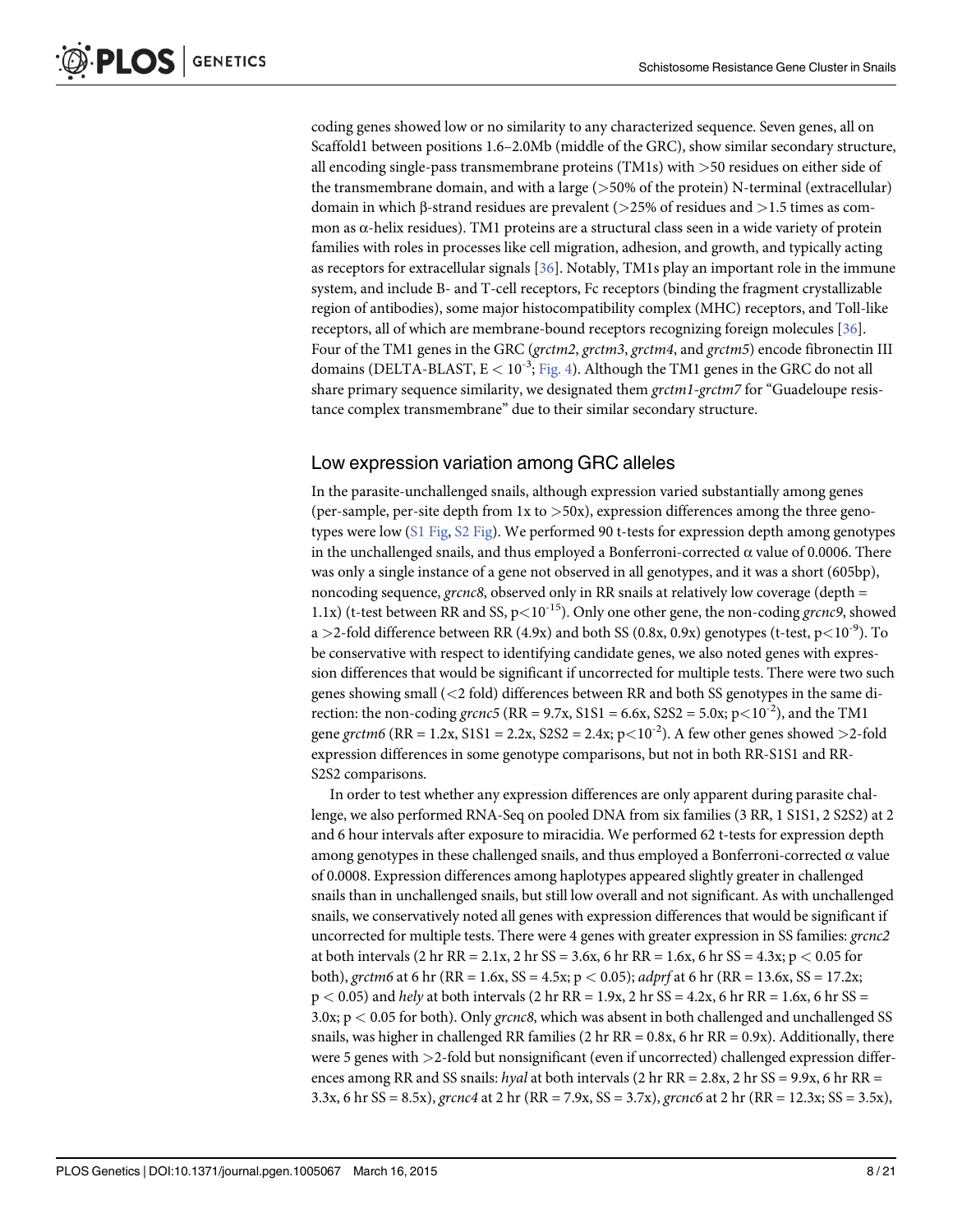<span id="page-8-0"></span>coding genes showed low or no similarity to any characterized sequence. Seven genes, all on Scaffold1 between positions 1.6–2.0Mb (middle of the GRC), show similar secondary structure, all encoding single-pass transmembrane proteins (TM1s) with >50 residues on either side of the transmembrane domain, and with a large  $(>50\%$  of the protein) N-terminal (extracellular) domain in which β-strand residues are prevalent (>25% of residues and >1.5 times as common as  $\alpha$ -helix residues). TM1 proteins are a structural class seen in a wide variety of protein families with roles in processes like cell migration, adhesion, and growth, and typically acting as receptors for extracellular signals [[36](#page-19-0)]. Notably, TM1s play an important role in the immune system, and include B- and T-cell receptors, Fc receptors (binding the fragment crystallizable region of antibodies), some major histocompatibility complex (MHC) receptors, and Toll-like receptors, all of which are membrane-bound receptors recognizing foreign molecules [\[36](#page-19-0)]. Four of the TM1 genes in the GRC (grctm2, grctm3, grctm4, and grctm5) encode fibronectin III domains (DELTA-BLAST,  $E < 10^{-3}$ ; [Fig. 4\)](#page-9-0). Although the TM1 genes in the GRC do not all share primary sequence similarity, we designated them grctm1-grctm7 for "Guadeloupe resistance complex transmembrane" due to their similar secondary structure.

#### Low expression variation among GRC alleles

In the parasite-unchallenged snails, although expression varied substantially among genes (per-sample, per-site depth from 1x to >50x), expression differences among the three genotypes were low ([S1 Fig,](#page-17-0) [S2 Fig](#page-17-0)). We performed 90 t-tests for expression depth among genotypes in the unchallenged snails, and thus employed a Bonferroni-corrected  $\alpha$  value of 0.0006. There was only a single instance of a gene not observed in all genotypes, and it was a short (605bp), noncoding sequence, grcnc8, observed only in RR snails at relatively low coverage (depth  $=$ 1.1x) (t-test between RR and SS,  $p<10^{-15}$ ). Only one other gene, the non-coding granal, showed a >2-fold difference between RR (4.9x) and both SS (0.8x, 0.9x) genotypes (t-test,  $p<10^{-9}$ ). To be conservative with respect to identifying candidate genes, we also noted genes with expression differences that would be significant if uncorrected for multiple tests. There were two such genes showing small (<2 fold) differences between RR and both SS genotypes in the same direction: the non-coding grcnc5 (RR = 9.7x, S1S1 = 6.6x, S2S2 = 5.0x; p $\lt 10^{-2}$ ), and the TM1 gene grctm6 (RR = 1.2x, S1S1 = 2.2x, S2S2 = 2.4x;  $p<10^{-2}$ ). A few other genes showed > 2-fold expression differences in some genotype comparisons, but not in both RR-S1S1 and RR-S2S2 comparisons.

In order to test whether any expression differences are only apparent during parasite challenge, we also performed RNA-Seq on pooled DNA from six families (3 RR, 1 S1S1, 2 S2S2) at 2 and 6 hour intervals after exposure to miracidia. We performed 62 t-tests for expression depth among genotypes in these challenged snails, and thus employed a Bonferroni-corrected α value of 0.0008. Expression differences among haplotypes appeared slightly greater in challenged snails than in unchallenged snails, but still low overall and not significant. As with unchallenged snails, we conservatively noted all genes with expression differences that would be significant if uncorrected for multiple tests. There were 4 genes with greater expression in SS families: grcnc2 at both intervals (2 hr RR = 2.1x, 2 hr SS = 3.6x, 6 hr RR = 1.6x, 6 hr SS = 4.3x; p  $< 0.05$  for both), grctm6 at 6 hr (RR = 1.6x, SS = 4.5x; p < 0.05); adpr f at 6 hr (RR = 13.6x, SS = 17.2x;  $p < 0.05$ ) and hely at both intervals (2 hr RR = 1.9x, 2 hr SS = 4.2x, 6 hr RR = 1.6x, 6 hr SS = 3.0x; p < 0.05 for both). Only grcnc8, which was absent in both challenged and unchallenged SS snails, was higher in challenged RR families (2 hr  $RR = 0.8x$ , 6 hr  $RR = 0.9x$ ). Additionally, there were 5 genes with >2-fold but nonsignificant (even if uncorrected) challenged expression differences among RR and SS snails: hyal at both intervals (2 hr RR =  $2.8x$ , 2 hr SS =  $9.9x$ , 6 hr RR = 3.3x, 6 hr SS = 8.5x), grcnc4 at 2 hr (RR = 7.9x, SS = 3.7x), grcnc6 at 2 hr (RR = 12.3x; SS = 3.5x),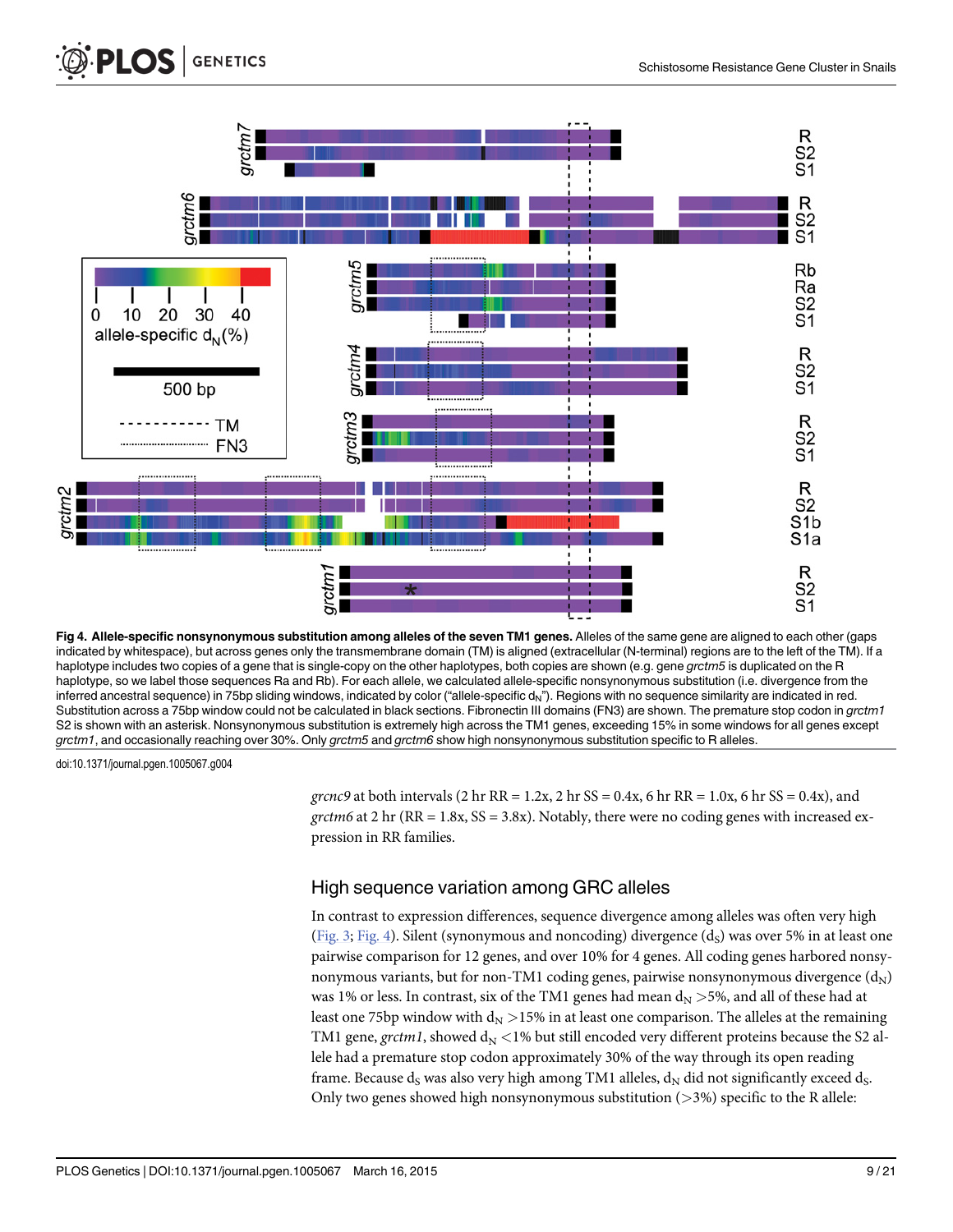<span id="page-9-0"></span>

[Fig 4. A](#page-8-0)llele-specific nonsynonymous substitution among alleles of the seven TM1 genes. Alleles of the same gene are aligned to each other (gaps indicated by whitespace), but across genes only the transmembrane domain (TM) is aligned (extracellular (N-terminal) regions are to the left of the TM). If a haplotype includes two copies of a gene that is single-copy on the other haplotypes, both copies are shown (e.g. gene grctm5 is duplicated on the R haplotype, so we label those sequences Ra and Rb). For each allele, we calculated allele-specific nonsynonymous substitution (i.e. divergence from the inferred ancestral sequence) in 75bp sliding windows, indicated by color ("allele-specific  $d_N$ "). Regions with no sequence similarity are indicated in red. Substitution across a 75bp window could not be calculated in black sections. Fibronectin III domains (FN3) are shown. The premature stop codon in grctm1 S2 is shown with an asterisk. Nonsynonymous substitution is extremely high across the TM1 genes, exceeding 15% in some windows for all genes except grctm1, and occasionally reaching over 30%. Only grctm5 and grctm6 show high nonsynonymous substitution specific to R alleles.

doi:10.1371/journal.pgen.1005067.g004

grcnc9 at both intervals (2 hr RR =  $1.2x$ , 2 hr SS =  $0.4x$ , 6 hr RR =  $1.0x$ , 6 hr SS =  $0.4x$ ), and grctm6 at 2 hr ( $RR = 1.8x$ ,  $SS = 3.8x$ ). Notably, there were no coding genes with increased expression in RR families.

#### High sequence variation among GRC alleles

In contrast to expression differences, sequence divergence among alleles was often very high [\(Fig. 3](#page-6-0); Fig. 4). Silent (synonymous and noncoding) divergence  $(d_S)$  was over 5% in at least one pairwise comparison for 12 genes, and over 10% for 4 genes. All coding genes harbored nonsynonymous variants, but for non-TM1 coding genes, pairwise nonsynonymous divergence  $(d_N)$ was 1% or less. In contrast, six of the TM1 genes had mean  $d_N > 5$ %, and all of these had at least one 75bp window with  $d_N > 15\%$  in at least one comparison. The alleles at the remaining TM1 gene, grctm1, showed  $d_N < 1\%$  but still encoded very different proteins because the S2 allele had a premature stop codon approximately 30% of the way through its open reading frame. Because d<sub>S</sub> was also very high among TM1 alleles,  $d_N$  did not significantly exceed d<sub>S</sub>. Only two genes showed high nonsynonymous substitution  $($ >3%) specific to the R allele: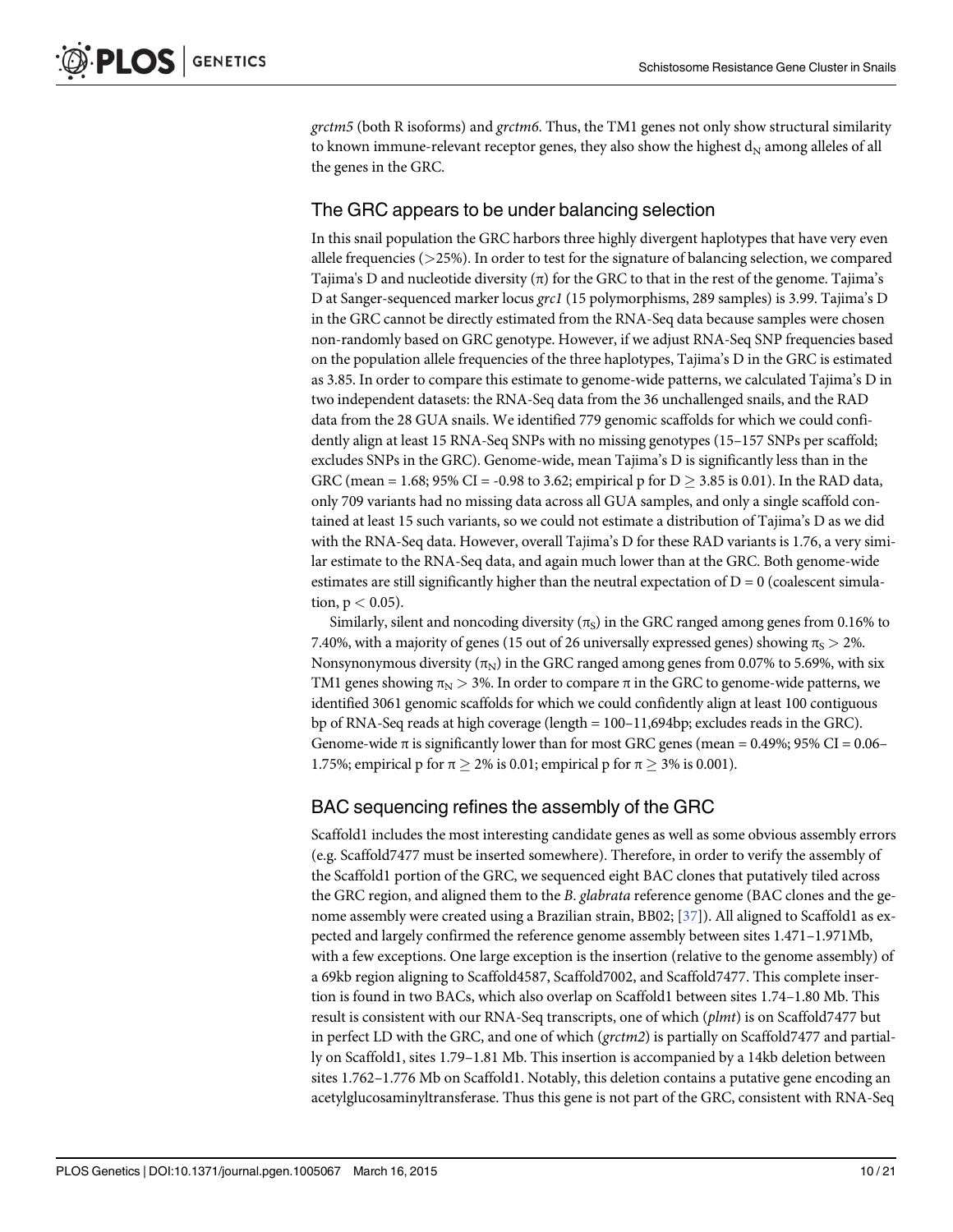<span id="page-10-0"></span>grctm5 (both R isoforms) and grctm6. Thus, the TM1 genes not only show structural similarity to known immune-relevant receptor genes, they also show the highest  $d_N$  among alleles of all the genes in the GRC.

#### The GRC appears to be under balancing selection

In this snail population the GRC harbors three highly divergent haplotypes that have very even allele frequencies  $(>25%)$ . In order to test for the signature of balancing selection, we compared Tajima's D and nucleotide diversity  $(\pi)$  for the GRC to that in the rest of the genome. Tajima's D at Sanger-sequenced marker locus grc1 (15 polymorphisms, 289 samples) is 3.99. Tajima's D in the GRC cannot be directly estimated from the RNA-Seq data because samples were chosen non-randomly based on GRC genotype. However, if we adjust RNA-Seq SNP frequencies based on the population allele frequencies of the three haplotypes, Tajima's D in the GRC is estimated as 3.85. In order to compare this estimate to genome-wide patterns, we calculated Tajima's D in two independent datasets: the RNA-Seq data from the 36 unchallenged snails, and the RAD data from the 28 GUA snails. We identified 779 genomic scaffolds for which we could confidently align at least 15 RNA-Seq SNPs with no missing genotypes (15–157 SNPs per scaffold; excludes SNPs in the GRC). Genome-wide, mean Tajima's D is significantly less than in the GRC (mean = 1.68; 95% CI = -0.98 to 3.62; empirical p for  $D \ge 3.85$  is 0.01). In the RAD data, only 709 variants had no missing data across all GUA samples, and only a single scaffold contained at least 15 such variants, so we could not estimate a distribution of Tajima's D as we did with the RNA-Seq data. However, overall Tajima's D for these RAD variants is 1.76, a very similar estimate to the RNA-Seq data, and again much lower than at the GRC. Both genome-wide estimates are still significantly higher than the neutral expectation of  $D = 0$  (coalescent simulation,  $p < 0.05$ ).

Similarly, silent and noncoding diversity ( $\pi$ <sub>S</sub>) in the GRC ranged among genes from 0.16% to 7.40%, with a majority of genes (15 out of 26 universally expressed genes) showing  $\pi_s > 2$ %. Nonsynonymous diversity  $(\pi_N)$  in the GRC ranged among genes from 0.07% to 5.69%, with six TM1 genes showing  $\pi_N > 3$ %. In order to compare  $\pi$  in the GRC to genome-wide patterns, we identified 3061 genomic scaffolds for which we could confidently align at least 100 contiguous bp of RNA-Seq reads at high coverage (length = 100–11,694bp; excludes reads in the GRC). Genome-wide  $\pi$  is significantly lower than for most GRC genes (mean = 0.49%; 95% CI = 0.06– 1.75%; empirical p for  $\pi > 2\%$  is 0.01; empirical p for  $\pi > 3\%$  is 0.001).

#### BAC sequencing refines the assembly of the GRC

Scaffold1 includes the most interesting candidate genes as well as some obvious assembly errors (e.g. Scaffold7477 must be inserted somewhere). Therefore, in order to verify the assembly of the Scaffold1 portion of the GRC, we sequenced eight BAC clones that putatively tiled across the GRC region, and aligned them to the B. glabrata reference genome (BAC clones and the ge-nome assembly were created using a Brazilian strain, BB02; [[37](#page-19-0)]). All aligned to Scaffold1 as expected and largely confirmed the reference genome assembly between sites 1.471–1.971Mb, with a few exceptions. One large exception is the insertion (relative to the genome assembly) of a 69kb region aligning to Scaffold4587, Scaffold7002, and Scaffold7477. This complete insertion is found in two BACs, which also overlap on Scaffold1 between sites 1.74–1.80 Mb. This result is consistent with our RNA-Seq transcripts, one of which (plmt) is on Scaffold7477 but in perfect LD with the GRC, and one of which (grctm2) is partially on Scaffold7477 and partially on Scaffold1, sites 1.79–1.81 Mb. This insertion is accompanied by a 14kb deletion between sites 1.762–1.776 Mb on Scaffold1. Notably, this deletion contains a putative gene encoding an acetylglucosaminyltransferase. Thus this gene is not part of the GRC, consistent with RNA-Seq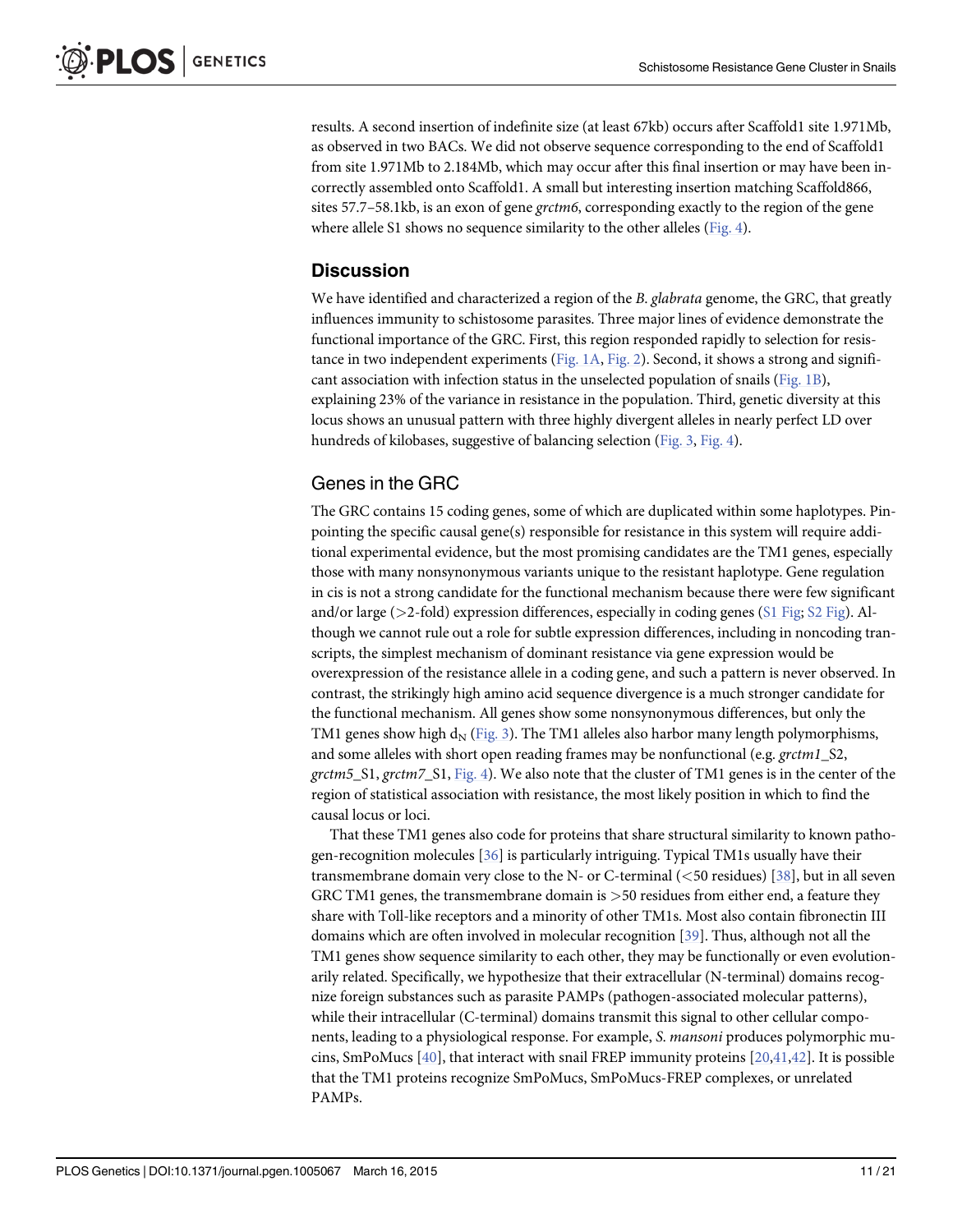<span id="page-11-0"></span>results. A second insertion of indefinite size (at least 67kb) occurs after Scaffold1 site 1.971Mb, as observed in two BACs. We did not observe sequence corresponding to the end of Scaffold1 from site 1.971Mb to 2.184Mb, which may occur after this final insertion or may have been incorrectly assembled onto Scaffold1. A small but interesting insertion matching Scaffold866, sites 57.7–58.1kb, is an exon of gene *grctm6*, corresponding exactly to the region of the gene where allele S1 shows no sequence similarity to the other alleles ([Fig. 4](#page-9-0)).

#### Discussion

We have identified and characterized a region of the B. glabrata genome, the GRC, that greatly influences immunity to schistosome parasites. Three major lines of evidence demonstrate the functional importance of the GRC. First, this region responded rapidly to selection for resistance in two independent experiments [\(Fig. 1A,](#page-3-0) [Fig. 2\)](#page-4-0). Second, it shows a strong and significant association with infection status in the unselected population of snails [\(Fig. 1B\)](#page-3-0), explaining 23% of the variance in resistance in the population. Third, genetic diversity at this locus shows an unusual pattern with three highly divergent alleles in nearly perfect LD over hundreds of kilobases, suggestive of balancing selection [\(Fig. 3,](#page-6-0) [Fig. 4\)](#page-9-0).

#### Genes in the GRC

The GRC contains 15 coding genes, some of which are duplicated within some haplotypes. Pinpointing the specific causal gene(s) responsible for resistance in this system will require additional experimental evidence, but the most promising candidates are the TM1 genes, especially those with many nonsynonymous variants unique to the resistant haplotype. Gene regulation in cis is not a strong candidate for the functional mechanism because there were few significant and/or large ( $>2$ -fold) expression differences, especially in coding genes ( $\text{\textsterling}1$  Fig;  $\text{\textsterling}2$  Fig). Although we cannot rule out a role for subtle expression differences, including in noncoding transcripts, the simplest mechanism of dominant resistance via gene expression would be overexpression of the resistance allele in a coding gene, and such a pattern is never observed. In contrast, the strikingly high amino acid sequence divergence is a much stronger candidate for the functional mechanism. All genes show some nonsynonymous differences, but only the TM1 genes show high  $d_N$  ([Fig. 3](#page-6-0)). The TM1 alleles also harbor many length polymorphisms, and some alleles with short open reading frames may be nonfunctional (e.g.  $grctml_S2$ , grctm5\_S1, grctm7\_S1, [Fig. 4\)](#page-9-0). We also note that the cluster of TM1 genes is in the center of the region of statistical association with resistance, the most likely position in which to find the causal locus or loci.

That these TM1 genes also code for proteins that share structural similarity to known pathogen-recognition molecules [[36](#page-19-0)] is particularly intriguing. Typical TM1s usually have their transmembrane domain very close to the N- or C-terminal  $(<50$  residues) [[38](#page-19-0)], but in all seven GRC TM1 genes, the transmembrane domain is  $>50$  residues from either end, a feature they share with Toll-like receptors and a minority of other TM1s. Most also contain fibronectin III domains which are often involved in molecular recognition [[39](#page-19-0)]. Thus, although not all the TM1 genes show sequence similarity to each other, they may be functionally or even evolutionarily related. Specifically, we hypothesize that their extracellular (N-terminal) domains recognize foreign substances such as parasite PAMPs (pathogen-associated molecular patterns), while their intracellular (C-terminal) domains transmit this signal to other cellular components, leading to a physiological response. For example, S. mansoni produces polymorphic mucins, SmPoMucs  $[40]$ , that interact with snail FREP immunity proteins  $[20,41,42]$  $[20,41,42]$  $[20,41,42]$  $[20,41,42]$  $[20,41,42]$ . It is possible that the TM1 proteins recognize SmPoMucs, SmPoMucs-FREP complexes, or unrelated PAMPs.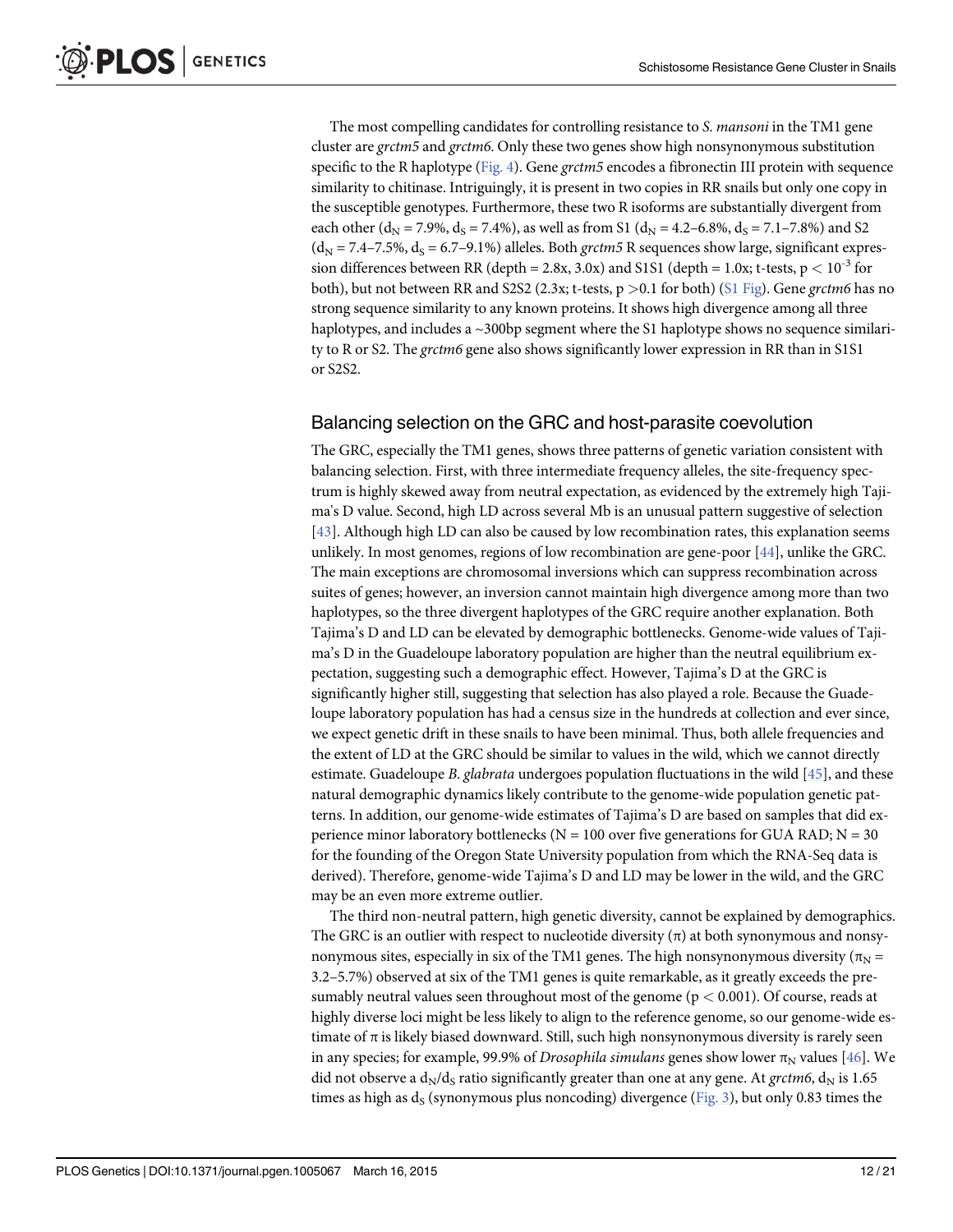<span id="page-12-0"></span>The most compelling candidates for controlling resistance to S. *mansoni* in the TM1 gene cluster are grctm5 and grctm6. Only these two genes show high nonsynonymous substitution specific to the R haplotype ([Fig. 4](#page-9-0)). Gene grctm5 encodes a fibronectin III protein with sequence similarity to chitinase. Intriguingly, it is present in two copies in RR snails but only one copy in the susceptible genotypes. Furthermore, these two R isoforms are substantially divergent from each other ( $d_N$  = 7.9%,  $d_S$  = 7.4%), as well as from S1 ( $d_N$  = 4.2–6.8%,  $d_S$  = 7.1–7.8%) and S2  $(d_N = 7.4 - 7.5\%, d_S = 6.7 - 9.1\%)$  alleles. Both grctm5 R sequences show large, significant expression differences between RR (depth = 2.8x, 3.0x) and S1S1 (depth = 1.0x; t-tests,  $p < 10^{-3}$  for both), but not between RR and S2S2 (2.3x; t-tests,  $p > 0.1$  for both) [\(S1 Fig](#page-17-0)). Gene grctm6 has no strong sequence similarity to any known proteins. It shows high divergence among all three haplotypes, and includes a ~300bp segment where the S1 haplotype shows no sequence similarity to R or S2. The *grctm6* gene also shows significantly lower expression in RR than in S1S1 or S2S2.

#### Balancing selection on the GRC and host-parasite coevolution

The GRC, especially the TM1 genes, shows three patterns of genetic variation consistent with balancing selection. First, with three intermediate frequency alleles, the site-frequency spectrum is highly skewed away from neutral expectation, as evidenced by the extremely high Tajima's D value. Second, high LD across several Mb is an unusual pattern suggestive of selection [\[43](#page-20-0)]. Although high LD can also be caused by low recombination rates, this explanation seems unlikely. In most genomes, regions of low recombination are gene-poor  $[44]$ , unlike the GRC. The main exceptions are chromosomal inversions which can suppress recombination across suites of genes; however, an inversion cannot maintain high divergence among more than two haplotypes, so the three divergent haplotypes of the GRC require another explanation. Both Tajima's D and LD can be elevated by demographic bottlenecks. Genome-wide values of Tajima's D in the Guadeloupe laboratory population are higher than the neutral equilibrium expectation, suggesting such a demographic effect. However, Tajima's D at the GRC is significantly higher still, suggesting that selection has also played a role. Because the Guadeloupe laboratory population has had a census size in the hundreds at collection and ever since, we expect genetic drift in these snails to have been minimal. Thus, both allele frequencies and the extent of LD at the GRC should be similar to values in the wild, which we cannot directly estimate. Guadeloupe B. glabrata undergoes population fluctuations in the wild [\[45\]](#page-20-0), and these natural demographic dynamics likely contribute to the genome-wide population genetic patterns. In addition, our genome-wide estimates of Tajima's D are based on samples that did experience minor laboratory bottlenecks ( $N = 100$  over five generations for GUA RAD;  $N = 30$ for the founding of the Oregon State University population from which the RNA-Seq data is derived). Therefore, genome-wide Tajima's D and LD may be lower in the wild, and the GRC may be an even more extreme outlier.

The third non-neutral pattern, high genetic diversity, cannot be explained by demographics. The GRC is an outlier with respect to nucleotide diversity  $(\pi)$  at both synonymous and nonsynonymous sites, especially in six of the TM1 genes. The high nonsynonymous diversity ( $\pi_{\rm N}$  = 3.2–5.7%) observed at six of the TM1 genes is quite remarkable, as it greatly exceeds the presumably neutral values seen throughout most of the genome ( $p < 0.001$ ). Of course, reads at highly diverse loci might be less likely to align to the reference genome, so our genome-wide estimate of  $\pi$  is likely biased downward. Still, such high nonsynonymous diversity is rarely seen in any species; for example, 99.9% of *Drosophila simulans* genes show lower  $\pi_N$  values [\[46\]](#page-20-0). We did not observe a  $d_N/d_S$  ratio significantly greater than one at any gene. At grctm6,  $d_N$  is 1.65 times as high as  $d_S$  (synonymous plus noncoding) divergence [\(Fig. 3\)](#page-6-0), but only 0.83 times the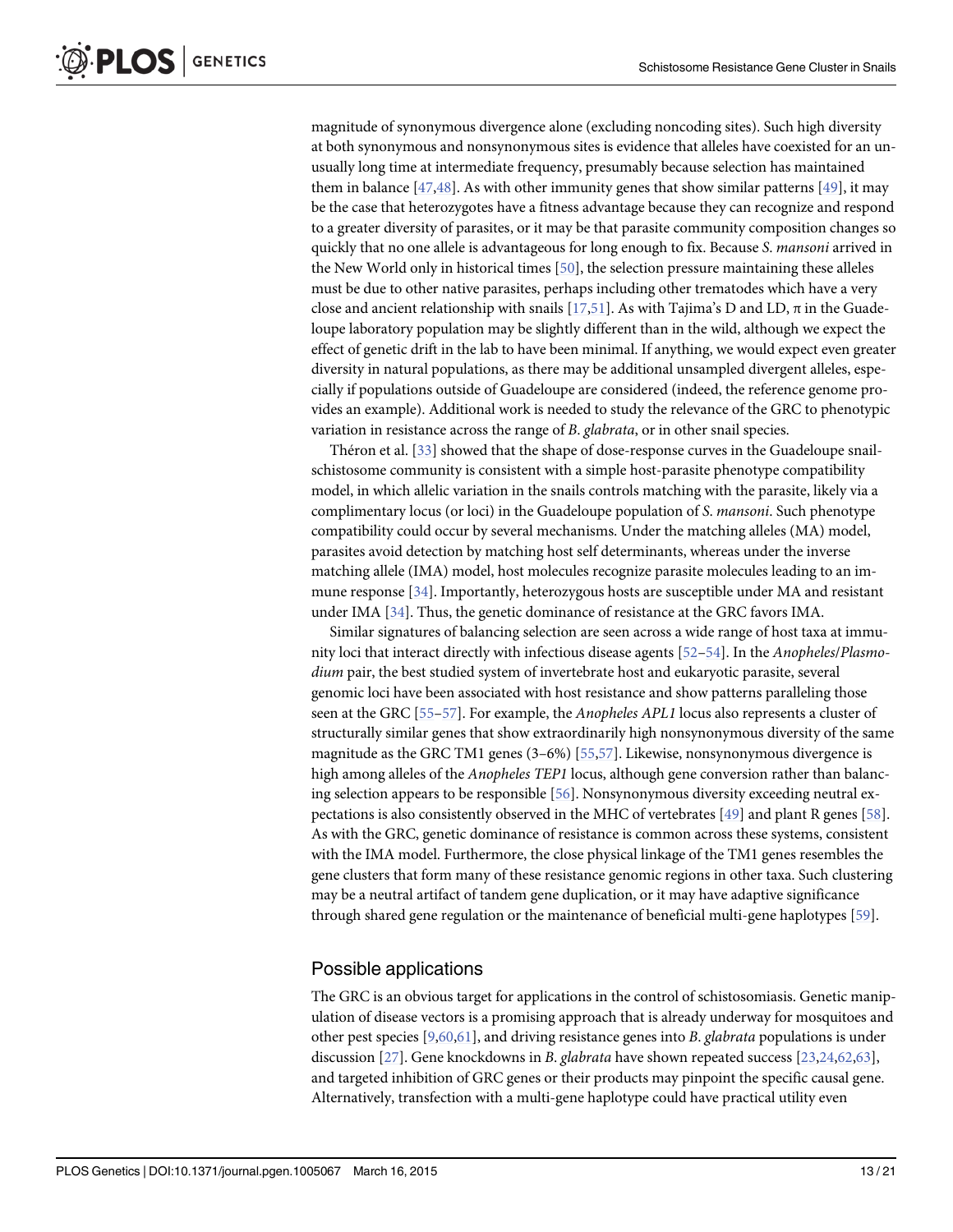<span id="page-13-0"></span>magnitude of synonymous divergence alone (excluding noncoding sites). Such high diversity at both synonymous and nonsynonymous sites is evidence that alleles have coexisted for an unusually long time at intermediate frequency, presumably because selection has maintained them in balance  $[47,48]$  $[47,48]$  $[47,48]$  $[47,48]$  $[47,48]$ . As with other immunity genes that show similar patterns  $[49]$  $[49]$  $[49]$ , it may be the case that heterozygotes have a fitness advantage because they can recognize and respond to a greater diversity of parasites, or it may be that parasite community composition changes so quickly that no one allele is advantageous for long enough to fix. Because S. mansoni arrived in the New World only in historical times [[50](#page-20-0)], the selection pressure maintaining these alleles must be due to other native parasites, perhaps including other trematodes which have a very close and ancient relationship with snails [ $17,51$  $17,51$  $17,51$ ]. As with Tajima's D and LD,  $\pi$  in the Guadeloupe laboratory population may be slightly different than in the wild, although we expect the effect of genetic drift in the lab to have been minimal. If anything, we would expect even greater diversity in natural populations, as there may be additional unsampled divergent alleles, especially if populations outside of Guadeloupe are considered (indeed, the reference genome provides an example). Additional work is needed to study the relevance of the GRC to phenotypic variation in resistance across the range of B. glabrata, or in other snail species.

Théron et al. [\[33\]](#page-19-0) showed that the shape of dose-response curves in the Guadeloupe snailschistosome community is consistent with a simple host-parasite phenotype compatibility model, in which allelic variation in the snails controls matching with the parasite, likely via a complimentary locus (or loci) in the Guadeloupe population of S. mansoni. Such phenotype compatibility could occur by several mechanisms. Under the matching alleles (MA) model, parasites avoid detection by matching host self determinants, whereas under the inverse matching allele (IMA) model, host molecules recognize parasite molecules leading to an immune response [[34](#page-19-0)]. Importantly, heterozygous hosts are susceptible under MA and resistant under IMA [[34](#page-19-0)]. Thus, the genetic dominance of resistance at the GRC favors IMA.

Similar signatures of balancing selection are seen across a wide range of host taxa at immunity loci that interact directly with infectious disease agents [[52](#page-20-0)–[54](#page-20-0)]. In the Anopheles/Plasmodium pair, the best studied system of invertebrate host and eukaryotic parasite, several genomic loci have been associated with host resistance and show patterns paralleling those seen at the GRC [\[55](#page-20-0)–[57\]](#page-20-0). For example, the *Anopheles APL1* locus also represents a cluster of structurally similar genes that show extraordinarily high nonsynonymous diversity of the same magnitude as the GRC TM1 genes (3–6%) [[55](#page-20-0),[57](#page-20-0)]. Likewise, nonsynonymous divergence is high among alleles of the *Anopheles TEP1* locus, although gene conversion rather than balancing selection appears to be responsible [[56](#page-20-0)]. Nonsynonymous diversity exceeding neutral expectations is also consistently observed in the MHC of vertebrates [[49](#page-20-0)] and plant R genes [[58](#page-20-0)]. As with the GRC, genetic dominance of resistance is common across these systems, consistent with the IMA model. Furthermore, the close physical linkage of the TM1 genes resembles the gene clusters that form many of these resistance genomic regions in other taxa. Such clustering may be a neutral artifact of tandem gene duplication, or it may have adaptive significance through shared gene regulation or the maintenance of beneficial multi-gene haplotypes [[59](#page-20-0)].

#### Possible applications

The GRC is an obvious target for applications in the control of schistosomiasis. Genetic manipulation of disease vectors is a promising approach that is already underway for mosquitoes and other pest species  $[9,60,61]$  $[9,60,61]$  $[9,60,61]$  $[9,60,61]$  $[9,60,61]$  $[9,60,61]$ , and driving resistance genes into B. *glabrata* populations is under discussion [[27](#page-19-0)]. Gene knockdowns in B. glabrata have shown repeated success [[23](#page-19-0),[24](#page-19-0)[,62](#page-20-0)[,63\]](#page-21-0), and targeted inhibition of GRC genes or their products may pinpoint the specific causal gene. Alternatively, transfection with a multi-gene haplotype could have practical utility even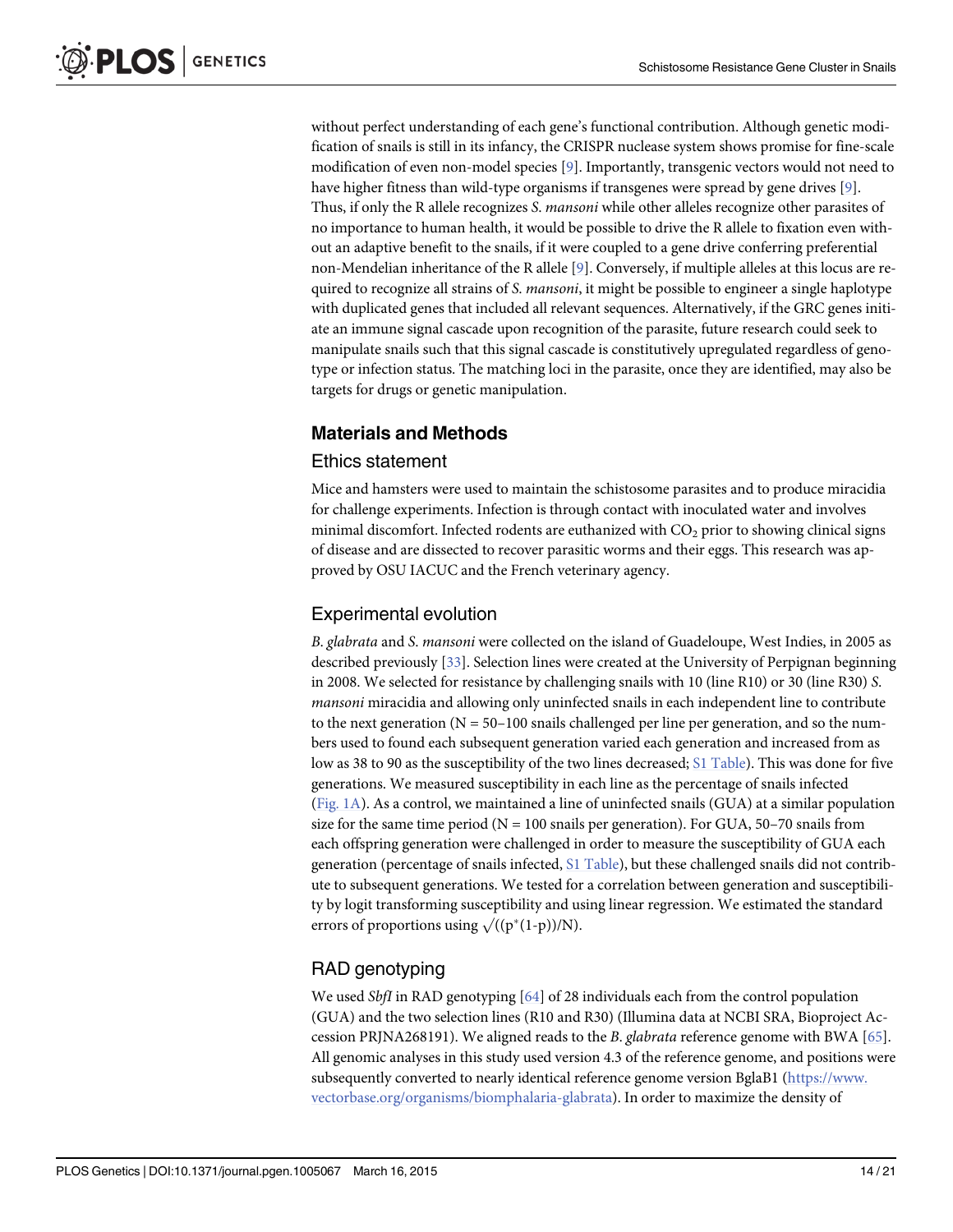<span id="page-14-0"></span>without perfect understanding of each gene's functional contribution. Although genetic modification of snails is still in its infancy, the CRISPR nuclease system shows promise for fine-scale modification of even non-model species [[9\]](#page-18-0). Importantly, transgenic vectors would not need to have higher fitness than wild-type organisms if transgenes were spread by gene drives [[9\]](#page-18-0). Thus, if only the R allele recognizes S. mansoni while other alleles recognize other parasites of no importance to human health, it would be possible to drive the R allele to fixation even without an adaptive benefit to the snails, if it were coupled to a gene drive conferring preferential non-Mendelian inheritance of the R allele [\[9](#page-18-0)]. Conversely, if multiple alleles at this locus are required to recognize all strains of S. *mansoni*, it might be possible to engineer a single haplotype with duplicated genes that included all relevant sequences. Alternatively, if the GRC genes initiate an immune signal cascade upon recognition of the parasite, future research could seek to manipulate snails such that this signal cascade is constitutively upregulated regardless of genotype or infection status. The matching loci in the parasite, once they are identified, may also be targets for drugs or genetic manipulation.

#### Materials and Methods

#### Ethics statement

Mice and hamsters were used to maintain the schistosome parasites and to produce miracidia for challenge experiments. Infection is through contact with inoculated water and involves minimal discomfort. Infected rodents are euthanized with  $CO<sub>2</sub>$  prior to showing clinical signs of disease and are dissected to recover parasitic worms and their eggs. This research was approved by OSU IACUC and the French veterinary agency.

#### Experimental evolution

B. glabrata and S. mansoni were collected on the island of Guadeloupe, West Indies, in 2005 as described previously [[33](#page-19-0)]. Selection lines were created at the University of Perpignan beginning in 2008. We selected for resistance by challenging snails with 10 (line R10) or 30 (line R30) S. mansoni miracidia and allowing only uninfected snails in each independent line to contribute to the next generation ( $N = 50-100$  snails challenged per line per generation, and so the numbers used to found each subsequent generation varied each generation and increased from as low as 38 to 90 as the susceptibility of the two lines decreased; [S1 Table](#page-17-0)). This was done for five generations. We measured susceptibility in each line as the percentage of snails infected [\(Fig. 1A\)](#page-3-0). As a control, we maintained a line of uninfected snails (GUA) at a similar population size for the same time period ( $N = 100$  snails per generation). For GUA, 50–70 snails from each offspring generation were challenged in order to measure the susceptibility of GUA each generation (percentage of snails infected, [S1 Table\)](#page-17-0), but these challenged snails did not contribute to subsequent generations. We tested for a correlation between generation and susceptibility by logit transforming susceptibility and using linear regression. We estimated the standard errors of proportions using  $\sqrt{((p^*(1-p))/N)}$ .

#### RAD genotyping

We used *SbfI* in RAD genotyping  $[64]$  of 28 individuals each from the control population (GUA) and the two selection lines (R10 and R30) (Illumina data at NCBI SRA, Bioproject Accession PRJNA268191). We aligned reads to the *B. glabrata* reference genome with BWA  $[65]$  $[65]$  $[65]$ . All genomic analyses in this study used version 4.3 of the reference genome, and positions were subsequently converted to nearly identical reference genome version BglaB1 [\(https://www.](https://www.vectorbase.org/organisms/biomphalaria-glabrata) [vectorbase.org/organisms/biomphalaria-glabrata](https://www.vectorbase.org/organisms/biomphalaria-glabrata)). In order to maximize the density of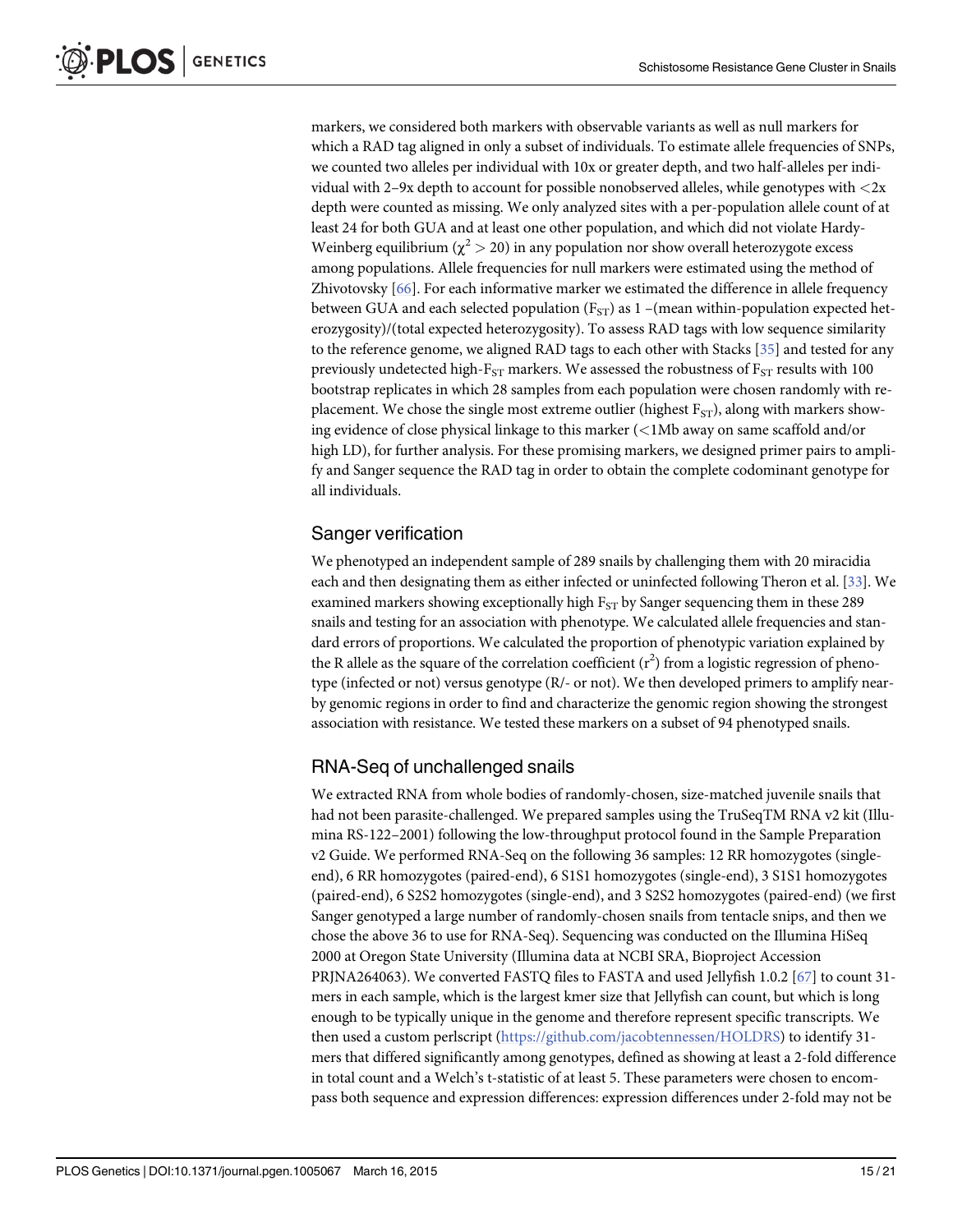<span id="page-15-0"></span>markers, we considered both markers with observable variants as well as null markers for which a RAD tag aligned in only a subset of individuals. To estimate allele frequencies of SNPs, we counted two alleles per individual with 10x or greater depth, and two half-alleles per individual with 2–9x depth to account for possible nonobserved alleles, while genotypes with <2x depth were counted as missing. We only analyzed sites with a per-population allele count of at least 24 for both GUA and at least one other population, and which did not violate Hardy-Weinberg equilibrium ( $\chi^2$  > 20) in any population nor show overall heterozygote excess among populations. Allele frequencies for null markers were estimated using the method of Zhivotovsky [[66](#page-21-0)]. For each informative marker we estimated the difference in allele frequency between GUA and each selected population ( $F_{ST}$ ) as 1 –(mean within-population expected heterozygosity)/(total expected heterozygosity). To assess RAD tags with low sequence similarity to the reference genome, we aligned RAD tags to each other with Stacks  $[35]$  and tested for any previously undetected high- $F_{ST}$  markers. We assessed the robustness of  $F_{ST}$  results with 100 bootstrap replicates in which 28 samples from each population were chosen randomly with replacement. We chose the single most extreme outlier (highest  $F_{ST}$ ), along with markers showing evidence of close physical linkage to this marker  $\ll 1$ Mb away on same scaffold and/or high LD), for further analysis. For these promising markers, we designed primer pairs to amplify and Sanger sequence the RAD tag in order to obtain the complete codominant genotype for all individuals.

#### Sanger verification

We phenotyped an independent sample of 289 snails by challenging them with 20 miracidia each and then designating them as either infected or uninfected following Theron et al. [[33](#page-19-0)]. We examined markers showing exceptionally high  $F_{ST}$  by Sanger sequencing them in these 289 snails and testing for an association with phenotype. We calculated allele frequencies and standard errors of proportions. We calculated the proportion of phenotypic variation explained by the R allele as the square of the correlation coefficient  $(r^2)$  from a logistic regression of phenotype (infected or not) versus genotype (R/- or not). We then developed primers to amplify nearby genomic regions in order to find and characterize the genomic region showing the strongest association with resistance. We tested these markers on a subset of 94 phenotyped snails.

#### RNA-Seq of unchallenged snails

We extracted RNA from whole bodies of randomly-chosen, size-matched juvenile snails that had not been parasite-challenged. We prepared samples using the TruSeqTM RNA v2 kit (Illumina RS-122–2001) following the low-throughput protocol found in the Sample Preparation v2 Guide. We performed RNA-Seq on the following 36 samples: 12 RR homozygotes (singleend), 6 RR homozygotes (paired-end), 6 S1S1 homozygotes (single-end), 3 S1S1 homozygotes (paired-end), 6 S2S2 homozygotes (single-end), and 3 S2S2 homozygotes (paired-end) (we first Sanger genotyped a large number of randomly-chosen snails from tentacle snips, and then we chose the above 36 to use for RNA-Seq). Sequencing was conducted on the Illumina HiSeq 2000 at Oregon State University (Illumina data at NCBI SRA, Bioproject Accession PRJNA264063). We converted FASTQ files to FASTA and used Jellyfish 1.0.2 [\[67\]](#page-21-0) to count 31 mers in each sample, which is the largest kmer size that Jellyfish can count, but which is long enough to be typically unique in the genome and therefore represent specific transcripts. We then used a custom perlscript [\(https://github.com/jacobtennessen/HOLDRS](https://github.com/jacobtennessen/HOLDRS)) to identify 31 mers that differed significantly among genotypes, defined as showing at least a 2-fold difference in total count and a Welch's t-statistic of at least 5. These parameters were chosen to encompass both sequence and expression differences: expression differences under 2-fold may not be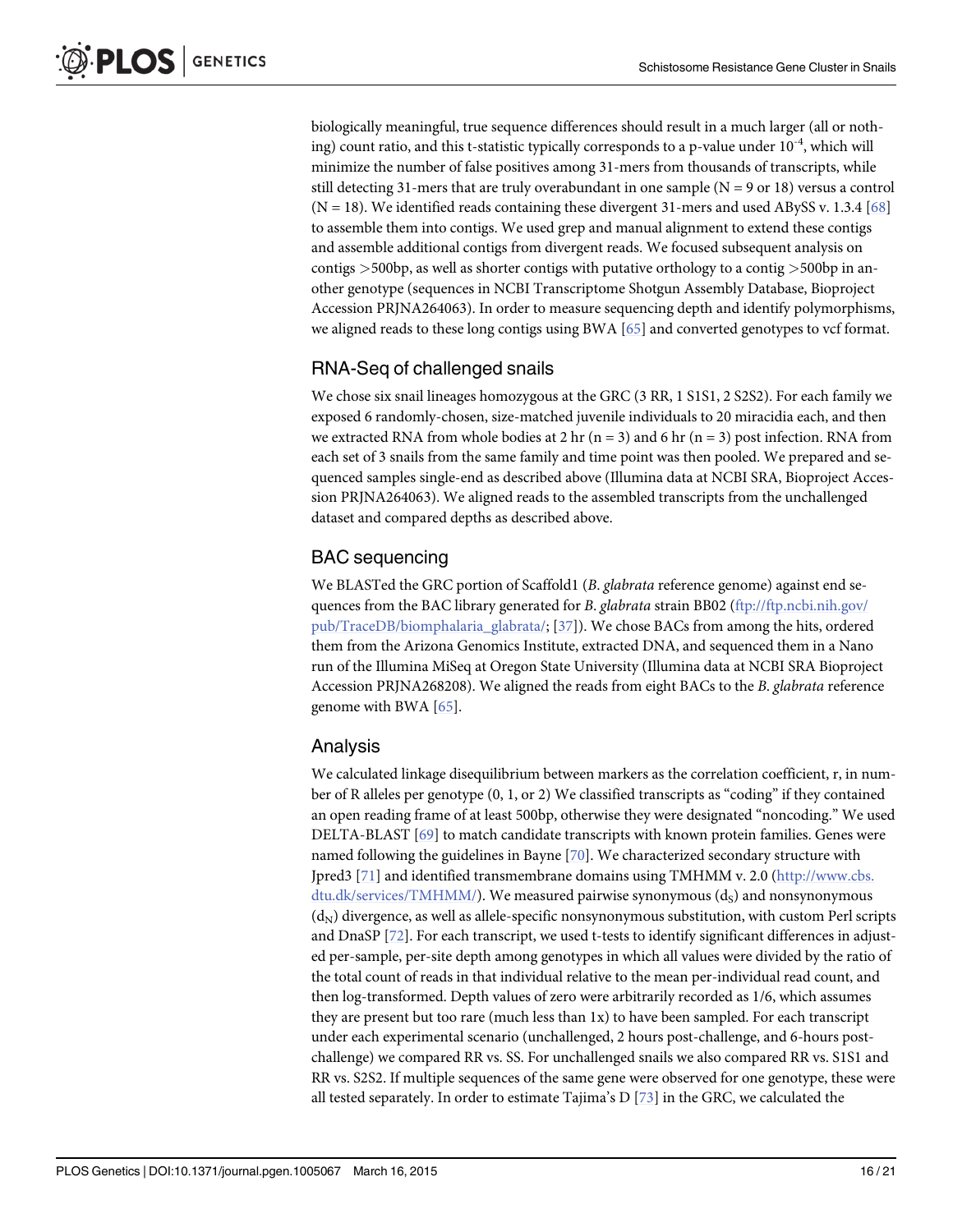<span id="page-16-0"></span>biologically meaningful, true sequence differences should result in a much larger (all or nothing) count ratio, and this t-statistic typically corresponds to a p-value under  $10^{-4}$ , which will minimize the number of false positives among 31-mers from thousands of transcripts, while still detecting 31-mers that are truly overabundant in one sample  $(N = 9 \text{ or } 18)$  versus a control  $(N = 18)$ . We identified reads containing these divergent 31-mers and used ABySS v. 1.3.4 [[68](#page-21-0)] to assemble them into contigs. We used grep and manual alignment to extend these contigs and assemble additional contigs from divergent reads. We focused subsequent analysis on contigs >500bp, as well as shorter contigs with putative orthology to a contig >500bp in another genotype (sequences in NCBI Transcriptome Shotgun Assembly Database, Bioproject Accession PRJNA264063). In order to measure sequencing depth and identify polymorphisms, we aligned reads to these long contigs using BWA [\[65\]](#page-21-0) and converted genotypes to vcf format.

#### RNA-Seq of challenged snails

We chose six snail lineages homozygous at the GRC (3 RR, 1 S1S1, 2 S2S2). For each family we exposed 6 randomly-chosen, size-matched juvenile individuals to 20 miracidia each, and then we extracted RNA from whole bodies at 2 hr (n = 3) and 6 hr (n = 3) post infection. RNA from each set of 3 snails from the same family and time point was then pooled. We prepared and sequenced samples single-end as described above (Illumina data at NCBI SRA, Bioproject Accession PRJNA264063). We aligned reads to the assembled transcripts from the unchallenged dataset and compared depths as described above.

#### BAC sequencing

We BLASTed the GRC portion of Scaffold1 (B. glabrata reference genome) against end se-quences from the BAC library generated for B. glabrata strain BB02 [\(ftp://ftp.ncbi.nih.gov/](http://ftp://ftp.ncbi.nih.gov/pub/TraceDB/biomphalaria_glabrata/) [pub/TraceDB/biomphalaria\\_glabrata/;](http://ftp://ftp.ncbi.nih.gov/pub/TraceDB/biomphalaria_glabrata/) [[37](#page-19-0)]). We chose BACs from among the hits, ordered them from the Arizona Genomics Institute, extracted DNA, and sequenced them in a Nano run of the Illumina MiSeq at Oregon State University (Illumina data at NCBI SRA Bioproject Accession PRJNA268208). We aligned the reads from eight BACs to the B. glabrata reference genome with BWA [[65](#page-21-0)].

#### Analysis

We calculated linkage disequilibrium between markers as the correlation coefficient, r, in number of R alleles per genotype (0, 1, or 2) We classified transcripts as "coding" if they contained an open reading frame of at least 500bp, otherwise they were designated "noncoding." We used DELTA-BLAST [\[69\]](#page-21-0) to match candidate transcripts with known protein families. Genes were named following the guidelines in Bayne [\[70\]](#page-21-0). We characterized secondary structure with Jpred3 [[71\]](#page-21-0) and identified transmembrane domains using TMHMM v. 2.0 [\(http://www.cbs.](http://www.cbs.dtu.dk/services/TMHMM/)  $d$ tu. $dk$ /services/TMHMM/). We measured pairwise synonymous  $(d_s)$  and nonsynonymous  $(d_N)$  divergence, as well as allele-specific nonsynonymous substitution, with custom Perl scripts and DnaSP [\[72\]](#page-21-0). For each transcript, we used t-tests to identify significant differences in adjusted per-sample, per-site depth among genotypes in which all values were divided by the ratio of the total count of reads in that individual relative to the mean per-individual read count, and then log-transformed. Depth values of zero were arbitrarily recorded as 1/6, which assumes they are present but too rare (much less than 1x) to have been sampled. For each transcript under each experimental scenario (unchallenged, 2 hours post-challenge, and 6-hours postchallenge) we compared RR vs. SS. For unchallenged snails we also compared RR vs. S1S1 and RR vs. S2S2. If multiple sequences of the same gene were observed for one genotype, these were all tested separately. In order to estimate Tajima's D  $[73]$  $[73]$  $[73]$  in the GRC, we calculated the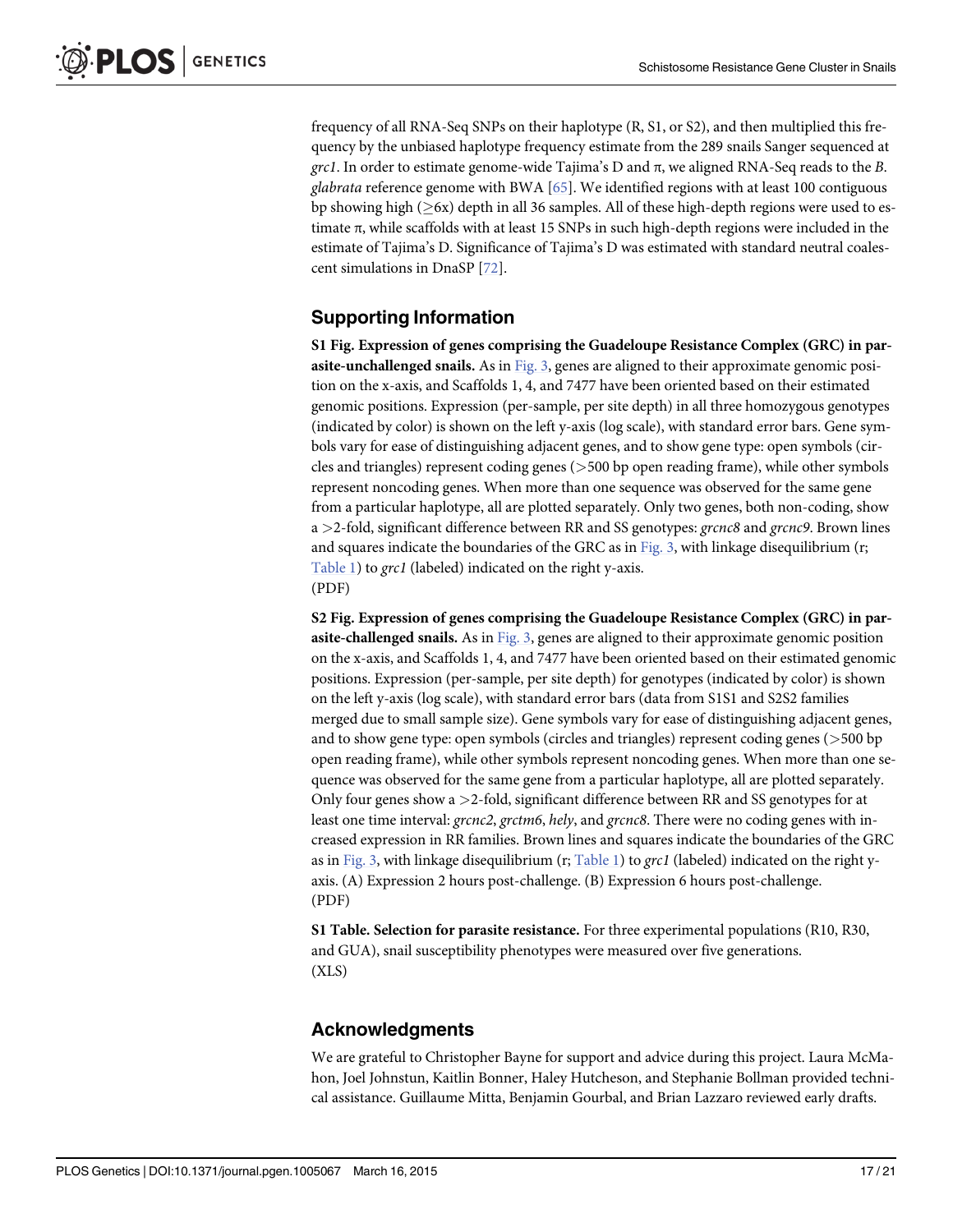<span id="page-17-0"></span>frequency of all RNA-Seq SNPs on their haplotype (R, S1, or S2), and then multiplied this frequency by the unbiased haplotype frequency estimate from the 289 snails Sanger sequenced at grc1. In order to estimate genome-wide Tajima's D and  $\pi$ , we aligned RNA-Seq reads to the B. glabrata reference genome with BWA  $[65]$ . We identified regions with at least 100 contiguous bp showing high  $(26x)$  depth in all 36 samples. All of these high-depth regions were used to estimate  $\pi$ , while scaffolds with at least 15 SNPs in such high-depth regions were included in the estimate of Tajima's D. Significance of Tajima's D was estimated with standard neutral coalescent simulations in DnaSP [[72](#page-21-0)].

#### Supporting Information

[S1 Fig.](http://www.plosone.org/article/fetchSingleRepresentation.action?uri=info:doi/10.1371/journal.pgen.1005067.s001) Expression of genes comprising the Guadeloupe Resistance Complex (GRC) in parasite-unchallenged snails. As in [Fig. 3](#page-6-0), genes are aligned to their approximate genomic position on the x-axis, and Scaffolds 1, 4, and 7477 have been oriented based on their estimated genomic positions. Expression (per-sample, per site depth) in all three homozygous genotypes (indicated by color) is shown on the left y-axis (log scale), with standard error bars. Gene symbols vary for ease of distinguishing adjacent genes, and to show gene type: open symbols (circles and triangles) represent coding genes (>500 bp open reading frame), while other symbols represent noncoding genes. When more than one sequence was observed for the same gene from a particular haplotype, all are plotted separately. Only two genes, both non-coding, show a  $>$ 2-fold, significant difference between RR and SS genotypes: grcnc8 and grcnc9. Brown lines and squares indicate the boundaries of the GRC as in  $Fig. 3$ , with linkage disequilibrium (r; [Table 1](#page-5-0)) to grc1 (labeled) indicated on the right y-axis. (PDF)

[S2 Fig.](http://www.plosone.org/article/fetchSingleRepresentation.action?uri=info:doi/10.1371/journal.pgen.1005067.s002) Expression of genes comprising the Guadeloupe Resistance Complex (GRC) in par-asite-challenged snails. As in [Fig. 3](#page-6-0), genes are aligned to their approximate genomic position on the x-axis, and Scaffolds 1, 4, and 7477 have been oriented based on their estimated genomic positions. Expression (per-sample, per site depth) for genotypes (indicated by color) is shown on the left y-axis (log scale), with standard error bars (data from S1S1 and S2S2 families merged due to small sample size). Gene symbols vary for ease of distinguishing adjacent genes, and to show gene type: open symbols (circles and triangles) represent coding genes (>500 bp open reading frame), while other symbols represent noncoding genes. When more than one sequence was observed for the same gene from a particular haplotype, all are plotted separately. Only four genes show a  $>2$ -fold, significant difference between RR and SS genotypes for at least one time interval: grcnc2, grctm6, hely, and grcnc8. There were no coding genes with increased expression in RR families. Brown lines and squares indicate the boundaries of the GRC as in [Fig. 3](#page-6-0), with linkage disequilibrium (r; [Table 1](#page-5-0)) to grc1 (labeled) indicated on the right yaxis. (A) Expression 2 hours post-challenge. (B) Expression 6 hours post-challenge. (PDF)

[S1 Table](http://www.plosone.org/article/fetchSingleRepresentation.action?uri=info:doi/10.1371/journal.pgen.1005067.s003). Selection for parasite resistance. For three experimental populations (R10, R30, and GUA), snail susceptibility phenotypes were measured over five generations.  $(XLS)$ 

#### Acknowledgments

We are grateful to Christopher Bayne for support and advice during this project. Laura McMahon, Joel Johnstun, Kaitlin Bonner, Haley Hutcheson, and Stephanie Bollman provided technical assistance. Guillaume Mitta, Benjamin Gourbal, and Brian Lazzaro reviewed early drafts.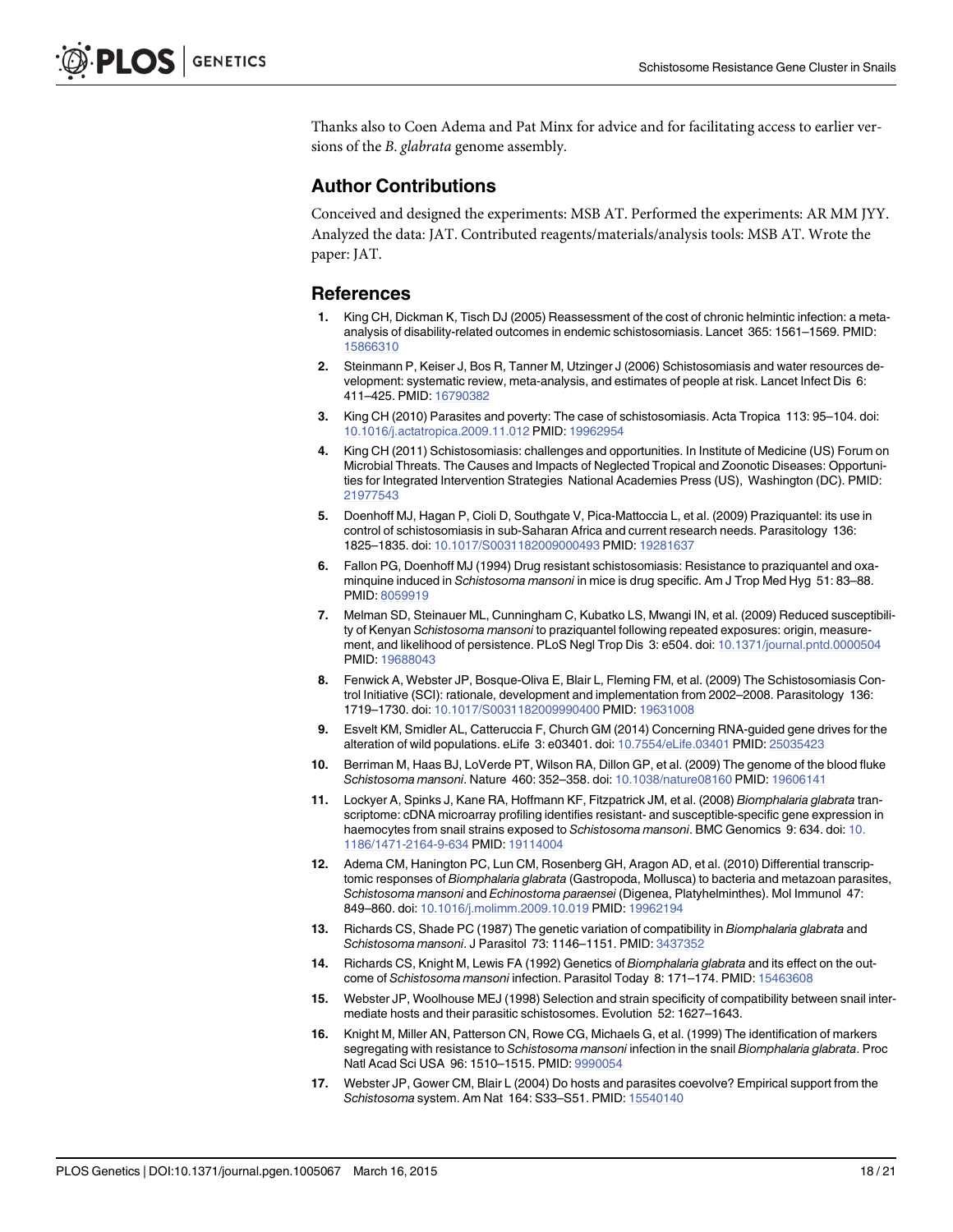<span id="page-18-0"></span>Thanks also to Coen Adema and Pat Minx for advice and for facilitating access to earlier versions of the B. glabrata genome assembly.

#### Author Contributions

Conceived and designed the experiments: MSB AT. Performed the experiments: AR MM JYY. Analyzed the data: JAT. Contributed reagents/materials/analysis tools: MSB AT. Wrote the paper: JAT.

#### References

- [1.](#page-2-0) King CH, Dickman K, Tisch DJ (2005) Reassessment of the cost of chronic helmintic infection: a metaanalysis of disability-related outcomes in endemic schistosomiasis. Lancet 365: 1561–1569. PMID: [15866310](http://www.ncbi.nlm.nih.gov/pubmed/15866310)
- [2.](#page-2-0) Steinmann P, Keiser J, Bos R, Tanner M, Utzinger J (2006) Schistosomiasis and water resources development: systematic review, meta-analysis, and estimates of people at risk. Lancet Infect Dis 6: 411–425. PMID: [16790382](http://www.ncbi.nlm.nih.gov/pubmed/16790382)
- [3.](#page-2-0) King CH (2010) Parasites and poverty: The case of schistosomiasis. Acta Tropica 113: 95–104. doi: [10.1016/j.actatropica.2009.11.012](http://dx.doi.org/10.1016/j.actatropica.2009.11.012) PMID: [19962954](http://www.ncbi.nlm.nih.gov/pubmed/19962954)
- [4.](#page-2-0) King CH (2011) Schistosomiasis: challenges and opportunities. In Institute of Medicine (US) Forum on Microbial Threats. The Causes and Impacts of Neglected Tropical and Zoonotic Diseases: Opportunities for Integrated Intervention Strategies National Academies Press (US), Washington (DC). PMID: [21977543](http://www.ncbi.nlm.nih.gov/pubmed/21977543)
- [5.](#page-2-0) Doenhoff MJ, Hagan P, Cioli D, Southgate V, Pica-Mattoccia L, et al. (2009) Praziquantel: its use in control of schistosomiasis in sub-Saharan Africa and current research needs. Parasitology 136: 1825–1835. doi: [10.1017/S0031182009000493](http://dx.doi.org/10.1017/S0031182009000493) PMID: [19281637](http://www.ncbi.nlm.nih.gov/pubmed/19281637)
- [6.](#page-2-0) Fallon PG, Doenhoff MJ (1994) Drug resistant schistosomiasis: Resistance to praziquantel and oxaminquine induced in Schistosoma mansoni in mice is drug specific. Am J Trop Med Hyg 51: 83–88. PMID: [8059919](http://www.ncbi.nlm.nih.gov/pubmed/8059919)
- [7.](#page-2-0) Melman SD, Steinauer ML, Cunningham C, Kubatko LS, Mwangi IN, et al. (2009) Reduced susceptibility of Kenyan Schistosoma mansoni to praziquantel following repeated exposures: origin, measurement, and likelihood of persistence. PLoS Negl Trop Dis 3: e504. doi: [10.1371/journal.pntd.0000504](http://dx.doi.org/10.1371/journal.pntd.0000504) PMID: [19688043](http://www.ncbi.nlm.nih.gov/pubmed/19688043)
- [8.](#page-2-0) Fenwick A, Webster JP, Bosque-Oliva E, Blair L, Fleming FM, et al. (2009) The Schistosomiasis Control Initiative (SCI): rationale, development and implementation from 2002–2008. Parasitology 136: 1719–1730. doi: [10.1017/S0031182009990400](http://dx.doi.org/10.1017/S0031182009990400) PMID: [19631008](http://www.ncbi.nlm.nih.gov/pubmed/19631008)
- [9.](#page-2-0) Esvelt KM, Smidler AL, Catteruccia F, Church GM (2014) Concerning RNA-guided gene drives for the alteration of wild populations. eLife 3: e03401. doi: [10.7554/eLife.03401](http://dx.doi.org/10.7554/eLife.03401) PMID: [25035423](http://www.ncbi.nlm.nih.gov/pubmed/25035423)
- [10.](#page-2-0) Berriman M, Haas BJ, LoVerde PT, Wilson RA, Dillon GP, et al. (2009) The genome of the blood fluke Schistosoma mansoni. Nature 460: 352–358. doi: [10.1038/nature08160](http://dx.doi.org/10.1038/nature08160) PMID: [19606141](http://www.ncbi.nlm.nih.gov/pubmed/19606141)
- [11.](#page-2-0) Lockyer A, Spinks J, Kane RA, Hoffmann KF, Fitzpatrick JM, et al. (2008) Biomphalaria glabrata transcriptome: cDNA microarray profiling identifies resistant- and susceptible-specific gene expression in haemocytes from snail strains exposed to Schistosoma mansoni. BMC Genomics 9: 634. doi: [10.](http://dx.doi.org/10.1186/1471-2164-9-634) [1186/1471-2164-9-634](http://dx.doi.org/10.1186/1471-2164-9-634) PMID: [19114004](http://www.ncbi.nlm.nih.gov/pubmed/19114004)
- [12.](#page-2-0) Adema CM, Hanington PC, Lun CM, Rosenberg GH, Aragon AD, et al. (2010) Differential transcriptomic responses of Biomphalaria glabrata (Gastropoda, Mollusca) to bacteria and metazoan parasites, Schistosoma mansoni and Echinostoma paraensei (Digenea, Platyhelminthes). Mol Immunol 47: 849–860. doi: [10.1016/j.molimm.2009.10.019](http://dx.doi.org/10.1016/j.molimm.2009.10.019) PMID: [19962194](http://www.ncbi.nlm.nih.gov/pubmed/19962194)
- [13.](#page-2-0) Richards CS, Shade PC (1987) The genetic variation of compatibility in Biomphalaria glabrata and Schistosoma mansoni. J Parasitol 73: 1146–1151. PMID: [3437352](http://www.ncbi.nlm.nih.gov/pubmed/3437352)
- [14.](#page-2-0) Richards CS, Knight M, Lewis FA (1992) Genetics of Biomphalaria glabrata and its effect on the outcome of Schistosoma mansoni infection. Parasitol Today 8: 171–174. PMID: [15463608](http://www.ncbi.nlm.nih.gov/pubmed/15463608)
- [15.](#page-2-0) Webster JP, Woolhouse MEJ (1998) Selection and strain specificity of compatibility between snail intermediate hosts and their parasitic schistosomes. Evolution 52: 1627–1643.
- [16.](#page-2-0) Knight M, Miller AN, Patterson CN, Rowe CG, Michaels G, et al. (1999) The identification of markers segregating with resistance to Schistosoma mansoni infection in the snail Biomphalaria glabrata. Proc Natl Acad Sci USA 96: 1510–1515. PMID: [9990054](http://www.ncbi.nlm.nih.gov/pubmed/9990054)
- [17.](#page-2-0) Webster JP, Gower CM, Blair L (2004) Do hosts and parasites coevolve? Empirical support from the Schistosoma system. Am Nat 164: S33–S51. PMID: [15540140](http://www.ncbi.nlm.nih.gov/pubmed/15540140)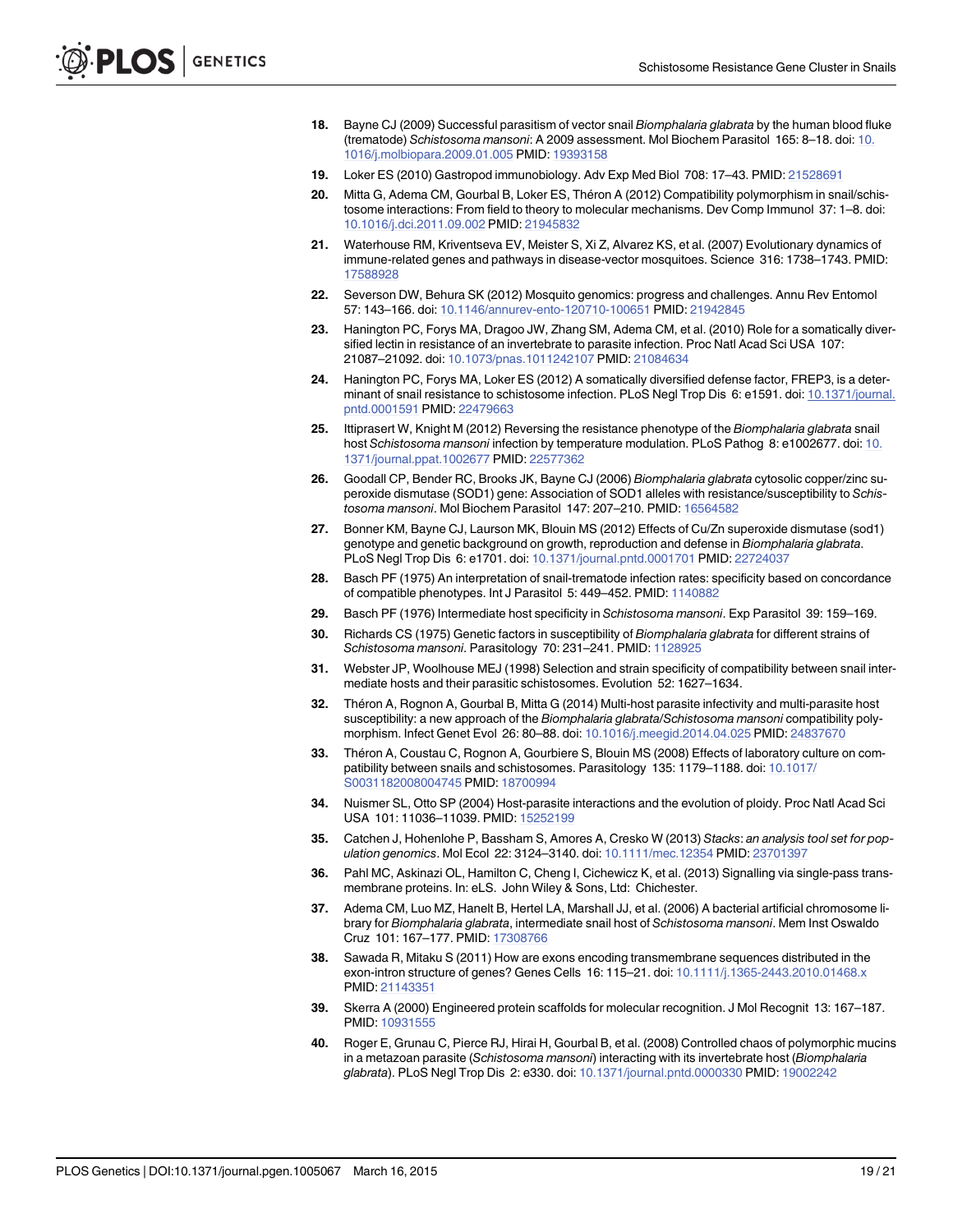- <span id="page-19-0"></span>[18.](#page-2-0) Bayne CJ (2009) Successful parasitism of vector snail Biomphalaria glabrata by the human blood fluke (trematode) Schistosoma mansoni: A 2009 assessment. Mol Biochem Parasitol 165: 8–18. doi: [10.](http://dx.doi.org/10.1016/j.molbiopara.2009.01.005) [1016/j.molbiopara.2009.01.005](http://dx.doi.org/10.1016/j.molbiopara.2009.01.005) PMID: [19393158](http://www.ncbi.nlm.nih.gov/pubmed/19393158)
- 19. Loker ES (2010) Gastropod immunobiology. Adv Exp Med Biol 708: 17–43. PMID: [21528691](http://www.ncbi.nlm.nih.gov/pubmed/21528691)
- [20.](#page-2-0) Mitta G, Adema CM, Gourbal B, Loker ES, Théron A (2012) Compatibility polymorphism in snail/schistosome interactions: From field to theory to molecular mechanisms. Dev Comp Immunol 37: 1–8. doi: [10.1016/j.dci.2011.09.002](http://dx.doi.org/10.1016/j.dci.2011.09.002) PMID: [21945832](http://www.ncbi.nlm.nih.gov/pubmed/21945832)
- [21.](#page-2-0) Waterhouse RM, Kriventseva EV, Meister S, Xi Z, Alvarez KS, et al. (2007) Evolutionary dynamics of immune-related genes and pathways in disease-vector mosquitoes. Science 316: 1738–1743. PMID: [17588928](http://www.ncbi.nlm.nih.gov/pubmed/17588928)
- [22.](#page-2-0) Severson DW, Behura SK (2012) Mosquito genomics: progress and challenges. Annu Rev Entomol 57: 143–166. doi: [10.1146/annurev-ento-120710-100651](http://dx.doi.org/10.1146/annurev-ento-120710-100651) PMID: [21942845](http://www.ncbi.nlm.nih.gov/pubmed/21942845)
- [23.](#page-2-0) Hanington PC, Forys MA, Dragoo JW, Zhang SM, Adema CM, et al. (2010) Role for a somatically diversified lectin in resistance of an invertebrate to parasite infection. Proc Natl Acad Sci USA 107: 21087–21092. doi: [10.1073/pnas.1011242107](http://dx.doi.org/10.1073/pnas.1011242107) PMID: [21084634](http://www.ncbi.nlm.nih.gov/pubmed/21084634)
- [24.](#page-2-0) Hanington PC, Forys MA, Loker ES (2012) A somatically diversified defense factor, FREP3, is a determinant of snail resistance to schistosome infection. PLoS Negl Trop Dis 6: e1591. doi: [10.1371/journal.](http://dx.doi.org/10.1371/journal.pntd.0001591) [pntd.0001591](http://dx.doi.org/10.1371/journal.pntd.0001591) PMID: [22479663](http://www.ncbi.nlm.nih.gov/pubmed/22479663)
- [25.](#page-2-0) Ittiprasert W, Knight M (2012) Reversing the resistance phenotype of the Biomphalaria glabrata snail host Schistosoma mansoni infection by temperature modulation. PLoS Pathog 8: e1002677. doi: [10.](http://dx.doi.org/10.1371/journal.ppat.1002677) [1371/journal.ppat.1002677](http://dx.doi.org/10.1371/journal.ppat.1002677) PMID: [22577362](http://www.ncbi.nlm.nih.gov/pubmed/22577362)
- [26.](#page-2-0) Goodall CP, Bender RC, Brooks JK, Bayne CJ (2006) Biomphalaria glabrata cytosolic copper/zinc superoxide dismutase (SOD1) gene: Association of SOD1 alleles with resistance/susceptibility to Schistosoma mansoni. Mol Biochem Parasitol 147: 207–210. PMID: [16564582](http://www.ncbi.nlm.nih.gov/pubmed/16564582)
- [27.](#page-2-0) Bonner KM, Bayne CJ, Laurson MK, Blouin MS (2012) Effects of Cu/Zn superoxide dismutase (sod1) genotype and genetic background on growth, reproduction and defense in Biomphalaria glabrata. PLoS Negl Trop Dis 6: e1701. doi: [10.1371/journal.pntd.0001701](http://dx.doi.org/10.1371/journal.pntd.0001701) PMID: [22724037](http://www.ncbi.nlm.nih.gov/pubmed/22724037)
- [28.](#page-2-0) Basch PF (1975) An interpretation of snail-trematode infection rates: specificity based on concordance of compatible phenotypes. Int J Parasitol 5: 449–452. PMID: [1140882](http://www.ncbi.nlm.nih.gov/pubmed/1140882)
- 29. Basch PF (1976) Intermediate host specificity in Schistosoma mansoni. Exp Parasitol 39: 159–169.
- 30. Richards CS (1975) Genetic factors in susceptibility of Biomphalaria glabrata for different strains of Schistosoma mansoni. Parasitology 70: 231-241. PMID: [1128925](http://www.ncbi.nlm.nih.gov/pubmed/1128925)
- 31. Webster JP, Woolhouse MEJ (1998) Selection and strain specificity of compatibility between snail intermediate hosts and their parasitic schistosomes. Evolution 52: 1627–1634.
- [32.](#page-2-0) Théron A, Rognon A, Gourbal B, Mitta G (2014) Multi-host parasite infectivity and multi-parasite host susceptibility: a new approach of the Biomphalaria glabrata/Schistosoma mansoni compatibility polymorphism. Infect Genet Evol 26: 80–88. doi: [10.1016/j.meegid.2014.04.025](http://dx.doi.org/10.1016/j.meegid.2014.04.025) PMID: [24837670](http://www.ncbi.nlm.nih.gov/pubmed/24837670)
- [33.](#page-2-0) Théron A, Coustau C, Rognon A, Gourbiere S, Blouin MS (2008) Effects of laboratory culture on com-patibility between snails and schistosomes. Parasitology 135: 1179-1188. doi: [10.1017/](http://dx.doi.org/10.1017/S0031182008004745) [S0031182008004745](http://dx.doi.org/10.1017/S0031182008004745) PMID: [18700994](http://www.ncbi.nlm.nih.gov/pubmed/18700994)
- [34.](#page-2-0) Nuismer SL, Otto SP (2004) Host-parasite interactions and the evolution of ploidy. Proc Natl Acad Sci USA 101: 11036–11039. PMID: [15252199](http://www.ncbi.nlm.nih.gov/pubmed/15252199)
- [35.](#page-4-0) Catchen J, Hohenlohe P, Bassham S, Amores A, Cresko W (2013) Stacks: an analysis tool set for population genomics. Mol Ecol 22: 3124–3140. doi: [10.1111/mec.12354](http://dx.doi.org/10.1111/mec.12354) PMID: [23701397](http://www.ncbi.nlm.nih.gov/pubmed/23701397)
- [36.](#page-8-0) Pahl MC, Askinazi OL, Hamilton C, Cheng I, Cichewicz K, et al. (2013) Signalling via single-pass transmembrane proteins. In: eLS. John Wiley & Sons, Ltd: Chichester.
- [37.](#page-10-0) Adema CM, Luo MZ, Hanelt B, Hertel LA, Marshall JJ, et al. (2006) A bacterial artificial chromosome library for Biomphalaria glabrata, intermediate snail host of Schistosoma mansoni. Mem Inst Oswaldo Cruz 101: 167–177. PMID: [17308766](http://www.ncbi.nlm.nih.gov/pubmed/17308766)
- [38.](#page-11-0) Sawada R, Mitaku S (2011) How are exons encoding transmembrane sequences distributed in the exon-intron structure of genes? Genes Cells 16: 115–21. doi: [10.1111/j.1365-2443.2010.01468.x](http://dx.doi.org/10.1111/j.1365-2443.2010.01468.x) PMID: [21143351](http://www.ncbi.nlm.nih.gov/pubmed/21143351)
- [39.](#page-11-0) Skerra A (2000) Engineered protein scaffolds for molecular recognition. J Mol Recognit 13: 167–187. PMID: [10931555](http://www.ncbi.nlm.nih.gov/pubmed/10931555)
- [40.](#page-11-0) Roger E, Grunau C, Pierce RJ, Hirai H, Gourbal B, et al. (2008) Controlled chaos of polymorphic mucins in a metazoan parasite (Schistosoma mansoni) interacting with its invertebrate host (Biomphalaria glabrata). PLoS Negl Trop Dis 2: e330. doi: [10.1371/journal.pntd.0000330](http://dx.doi.org/10.1371/journal.pntd.0000330) PMID: [19002242](http://www.ncbi.nlm.nih.gov/pubmed/19002242)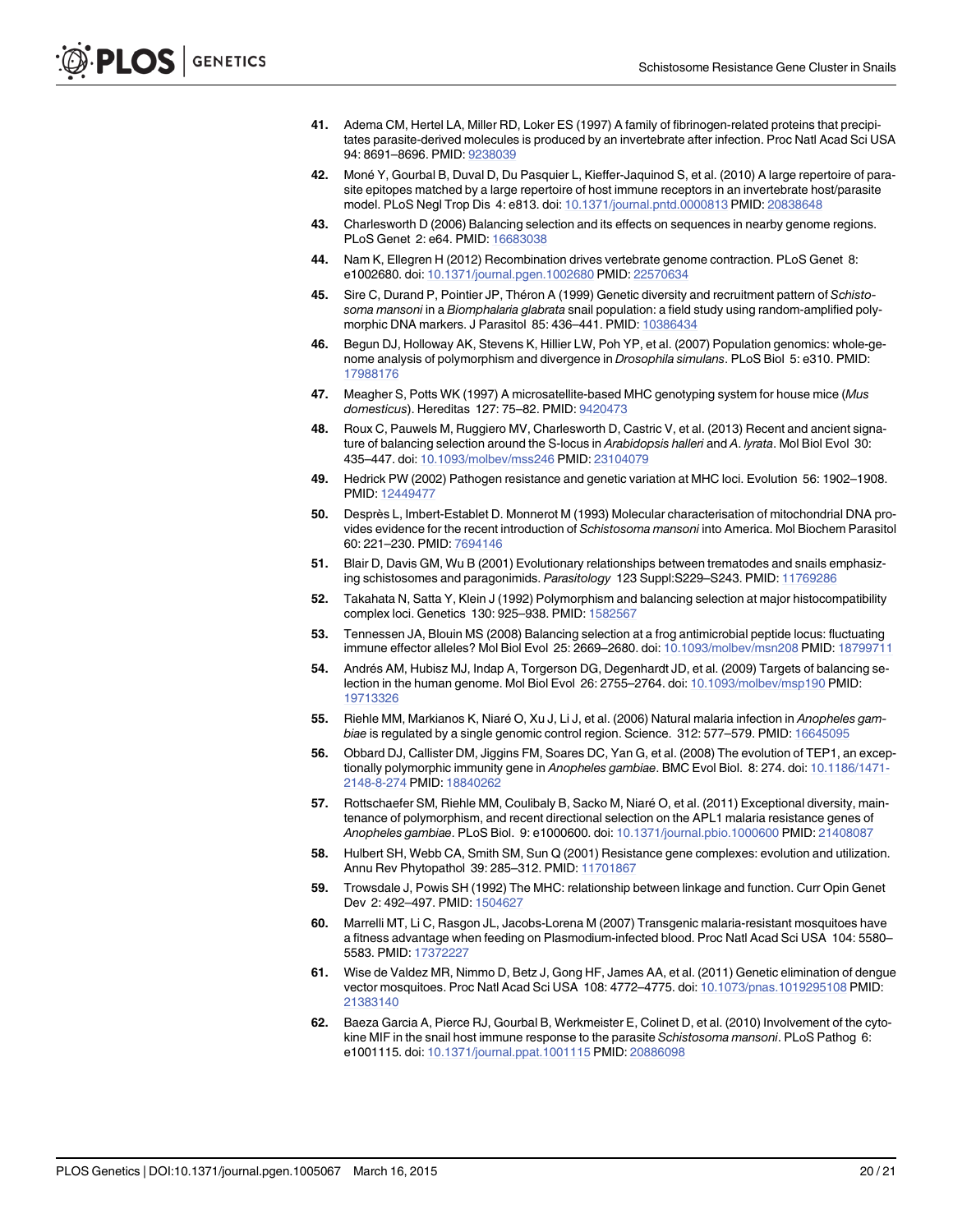- <span id="page-20-0"></span>[41.](#page-11-0) Adema CM, Hertel LA, Miller RD, Loker ES (1997) A family of fibrinogen-related proteins that precipitates parasite-derived molecules is produced by an invertebrate after infection. Proc Natl Acad Sci USA 94: 8691–8696. PMID: [9238039](http://www.ncbi.nlm.nih.gov/pubmed/9238039)
- [42.](#page-11-0) Moné Y, Gourbal B, Duval D, Du Pasquier L, Kieffer-Jaquinod S, et al. (2010) A large repertoire of parasite epitopes matched by a large repertoire of host immune receptors in an invertebrate host/parasite model. PLoS Negl Trop Dis 4: e813. doi: [10.1371/journal.pntd.0000813](http://dx.doi.org/10.1371/journal.pntd.0000813) PMID: [20838648](http://www.ncbi.nlm.nih.gov/pubmed/20838648)
- [43.](#page-12-0) Charlesworth D (2006) Balancing selection and its effects on sequences in nearby genome regions. PLoS Genet 2: e64. PMID: [16683038](http://www.ncbi.nlm.nih.gov/pubmed/16683038)
- [44.](#page-12-0) Nam K, Ellegren H (2012) Recombination drives vertebrate genome contraction. PLoS Genet 8: e1002680. doi: [10.1371/journal.pgen.1002680](http://dx.doi.org/10.1371/journal.pgen.1002680) PMID: [22570634](http://www.ncbi.nlm.nih.gov/pubmed/22570634)
- [45.](#page-12-0) Sire C, Durand P, Pointier JP, Théron A (1999) Genetic diversity and recruitment pattern of Schistosoma mansoni in a Biomphalaria glabrata snail population: a field study using random-amplified polymorphic DNA markers. J Parasitol 85: 436–441. PMID: [10386434](http://www.ncbi.nlm.nih.gov/pubmed/10386434)
- [46.](#page-12-0) Begun DJ, Holloway AK, Stevens K, Hillier LW, Poh YP, et al. (2007) Population genomics: whole-genome analysis of polymorphism and divergence in Drosophila simulans. PLoS Biol 5: e310. PMID: [17988176](http://www.ncbi.nlm.nih.gov/pubmed/17988176)
- [47.](#page-13-0) Meagher S, Potts WK (1997) A microsatellite-based MHC genotyping system for house mice (Mus domesticus). Hereditas 127: 75–82. PMID: [9420473](http://www.ncbi.nlm.nih.gov/pubmed/9420473)
- [48.](#page-13-0) Roux C, Pauwels M, Ruggiero MV, Charlesworth D, Castric V, et al. (2013) Recent and ancient signature of balancing selection around the S-locus in Arabidopsis halleri and A. lyrata. Mol Biol Evol 30: 435–447. doi: [10.1093/molbev/mss246](http://dx.doi.org/10.1093/molbev/mss246) PMID: [23104079](http://www.ncbi.nlm.nih.gov/pubmed/23104079)
- [49.](#page-13-0) Hedrick PW (2002) Pathogen resistance and genetic variation at MHC loci. Evolution 56: 1902–1908. PMID: [12449477](http://www.ncbi.nlm.nih.gov/pubmed/12449477)
- [50.](#page-13-0) Desprès L, Imbert-Establet D. Monnerot M (1993) Molecular characterisation of mitochondrial DNA provides evidence for the recent introduction of Schistosoma mansoni into America. Mol Biochem Parasitol 60: 221–230. PMID: [7694146](http://www.ncbi.nlm.nih.gov/pubmed/7694146)
- [51.](#page-13-0) Blair D, Davis GM, Wu B (2001) Evolutionary relationships between trematodes and snails emphasizing schistosomes and paragonimids. Parasitology 123 Suppl:S229–S243. PMID: [11769286](http://www.ncbi.nlm.nih.gov/pubmed/11769286)
- [52.](#page-13-0) Takahata N, Satta Y, Klein J (1992) Polymorphism and balancing selection at major histocompatibility complex loci. Genetics 130: 925–938. PMID: [1582567](http://www.ncbi.nlm.nih.gov/pubmed/1582567)
- 53. Tennessen JA, Blouin MS (2008) Balancing selection at a frog antimicrobial peptide locus: fluctuating immune effector alleles? Mol Biol Evol 25: 2669–2680. doi: [10.1093/molbev/msn208](http://dx.doi.org/10.1093/molbev/msn208) PMID: [18799711](http://www.ncbi.nlm.nih.gov/pubmed/18799711)
- [54.](#page-13-0) Andrés AM, Hubisz MJ, Indap A, Torgerson DG, Degenhardt JD, et al. (2009) Targets of balancing selection in the human genome. Mol Biol Evol 26: 2755–2764. doi: [10.1093/molbev/msp190](http://dx.doi.org/10.1093/molbev/msp190) PMID: [19713326](http://www.ncbi.nlm.nih.gov/pubmed/19713326)
- [55.](#page-13-0) Riehle MM, Markianos K, Niaré O, Xu J, Li J, et al. (2006) Natural malaria infection in Anopheles gambiae is regulated by a single genomic control region. Science. 312: 577–579. PMID: [16645095](http://www.ncbi.nlm.nih.gov/pubmed/16645095)
- [56.](#page-13-0) Obbard DJ, Callister DM, Jiggins FM, Soares DC, Yan G, et al. (2008) The evolution of TEP1, an excep-tionally polymorphic immunity gene in Anopheles gambiae. BMC Evol Biol. 8: 274. doi: [10.1186/1471-](http://dx.doi.org/10.1186/1471-2148-8-274) [2148-8-274](http://dx.doi.org/10.1186/1471-2148-8-274) PMID: [18840262](http://www.ncbi.nlm.nih.gov/pubmed/18840262)
- [57.](#page-13-0) Rottschaefer SM, Riehle MM, Coulibaly B, Sacko M, Niaré O, et al. (2011) Exceptional diversity, maintenance of polymorphism, and recent directional selection on the APL1 malaria resistance genes of Anopheles gambiae. PLoS Biol. 9: e1000600. doi: [10.1371/journal.pbio.1000600](http://dx.doi.org/10.1371/journal.pbio.1000600) PMID: [21408087](http://www.ncbi.nlm.nih.gov/pubmed/21408087)
- [58.](#page-13-0) Hulbert SH, Webb CA, Smith SM, Sun Q (2001) Resistance gene complexes: evolution and utilization. Annu Rev Phytopathol 39: 285-312. PMID: [11701867](http://www.ncbi.nlm.nih.gov/pubmed/11701867)
- [59.](#page-13-0) Trowsdale J, Powis SH (1992) The MHC: relationship between linkage and function. Curr Opin Genet Dev 2: 492–497. PMID: [1504627](http://www.ncbi.nlm.nih.gov/pubmed/1504627)
- [60.](#page-13-0) Marrelli MT, Li C, Rasgon JL, Jacobs-Lorena M (2007) Transgenic malaria-resistant mosquitoes have a fitness advantage when feeding on Plasmodium-infected blood. Proc Natl Acad Sci USA 104: 5580– 5583. PMID: [17372227](http://www.ncbi.nlm.nih.gov/pubmed/17372227)
- [61.](#page-13-0) Wise de Valdez MR, Nimmo D, Betz J, Gong HF, James AA, et al. (2011) Genetic elimination of dengue vector mosquitoes. Proc Natl Acad Sci USA 108: 4772–4775. doi: [10.1073/pnas.1019295108](http://dx.doi.org/10.1073/pnas.1019295108) PMID: [21383140](http://www.ncbi.nlm.nih.gov/pubmed/21383140)
- [62.](#page-13-0) Baeza Garcia A, Pierce RJ, Gourbal B, Werkmeister E, Colinet D, et al. (2010) Involvement of the cytokine MIF in the snail host immune response to the parasite Schistosoma mansoni. PLoS Pathog 6: e1001115. doi: [10.1371/journal.ppat.1001115](http://dx.doi.org/10.1371/journal.ppat.1001115) PMID: [20886098](http://www.ncbi.nlm.nih.gov/pubmed/20886098)